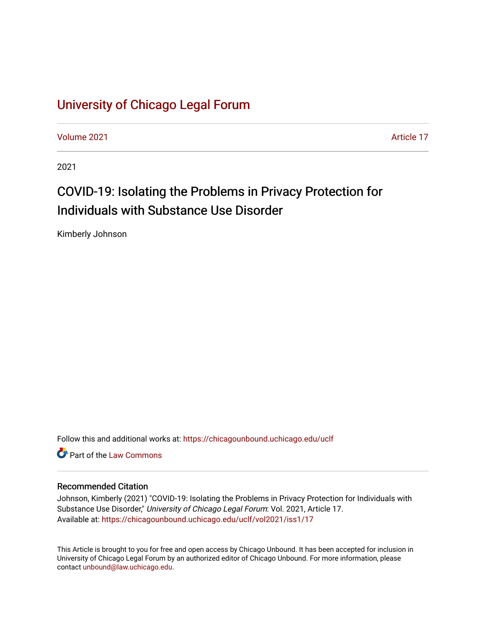# [University of Chicago Legal Forum](https://chicagounbound.uchicago.edu/uclf)

[Volume 2021](https://chicagounbound.uchicago.edu/uclf/vol2021) [Article 17](https://chicagounbound.uchicago.edu/uclf/vol2021/iss1/17) 

2021

# COVID-19: Isolating the Problems in Privacy Protection for Individuals with Substance Use Disorder

Kimberly Johnson

Follow this and additional works at: [https://chicagounbound.uchicago.edu/uclf](https://chicagounbound.uchicago.edu/uclf?utm_source=chicagounbound.uchicago.edu%2Fuclf%2Fvol2021%2Fiss1%2F17&utm_medium=PDF&utm_campaign=PDFCoverPages) 

**C** Part of the [Law Commons](https://network.bepress.com/hgg/discipline/578?utm_source=chicagounbound.uchicago.edu%2Fuclf%2Fvol2021%2Fiss1%2F17&utm_medium=PDF&utm_campaign=PDFCoverPages)

## Recommended Citation

Johnson, Kimberly (2021) "COVID-19: Isolating the Problems in Privacy Protection for Individuals with Substance Use Disorder," University of Chicago Legal Forum: Vol. 2021, Article 17. Available at: [https://chicagounbound.uchicago.edu/uclf/vol2021/iss1/17](https://chicagounbound.uchicago.edu/uclf/vol2021/iss1/17?utm_source=chicagounbound.uchicago.edu%2Fuclf%2Fvol2021%2Fiss1%2F17&utm_medium=PDF&utm_campaign=PDFCoverPages)

This Article is brought to you for free and open access by Chicago Unbound. It has been accepted for inclusion in University of Chicago Legal Forum by an authorized editor of Chicago Unbound. For more information, please contact [unbound@law.uchicago.edu](mailto:unbound@law.uchicago.edu).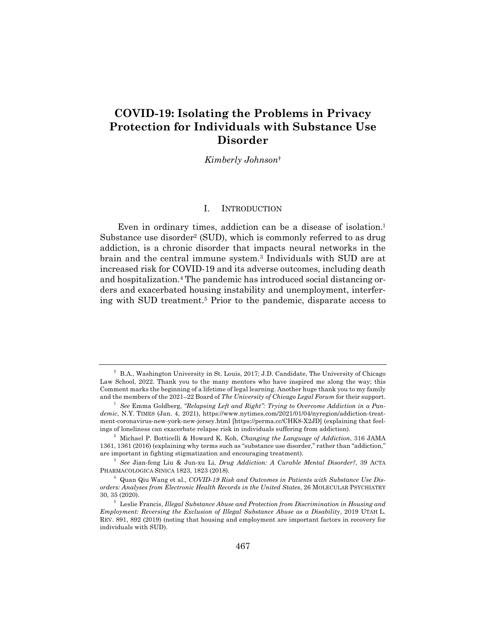# **COVID-19: Isolating the Problems in Privacy Protection for Individuals with Substance Use Disorder**

*Kimberly Johnson*†

#### I. INTRODUCTION

Even in ordinary times, addiction can be a disease of isolation.1 Substance use disorder<sup>2</sup> (SUD), which is commonly referred to as drug addiction, is a chronic disorder that impacts neural networks in the brain and the central immune system.3 Individuals with SUD are at increased risk for COVID-19 and its adverse outcomes, including death and hospitalization.<sup>4</sup> The pandemic has introduced social distancing orders and exacerbated housing instability and unemployment, interfering with SUD treatment.5 Prior to the pandemic, disparate access to

<sup>†</sup> B.A., Washington University in St. Louis, 2017; J.D. Candidate, The University of Chicago Law School, 2022. Thank you to the many mentors who have inspired me along the way; this Comment marks the beginning of a lifetime of legal learning. Another huge thank you to my family and the members of the 2021–22 Board of *The University of Chicago Legal Forum* for their support.

<sup>&</sup>lt;sup>1</sup> See Emma Goldberg, "Relapsing Left and Right": Trying to Overcome Addiction in a Pan*demic*, N.Y. TIMES (Jan. 4, 2021), https://www.nytimes.com/2021/01/04/nyregion/addiction-treatment-coronavirus-new-york-new-jersey.html [https://perma.cc/CHK8-X2JD] (explaining that feelings of loneliness can exacerbate relapse risk in individuals suffering from addiction).

<sup>2</sup> Michael P. Botticelli & Howard K. Koh, *Changing the Language of Addiction*, 316 JAMA 1361, 1361 (2016) (explaining why terms such as "substance use disorder," rather than "addiction," are important in fighting stigmatization and encouraging treatment).

<sup>3</sup> *See* Jian-feng Liu & Jun-xu Li, *Drug Addiction: A Curable Mental Disorder?*, 39 ACTA PHARMACOLOGICA SINICA 1823, 1823 (2018).

<sup>4</sup> Quan Qiu Wang et al., *COVID-19 Risk and Outcomes in Patients with Substance Use Disorders: Analyses from Electronic Health Records in the United States*, 26 MOLECULAR PSYCHIATRY 30, 35 (2020).

<sup>5</sup> Leslie Francis, *Illegal Substance Abuse and Protection from Discrimination in Housing and Employment: Reversing the Exclusion of Illegal Substance Abuse as a Disability*, 2019 UTAH L. REV. 891, 892 (2019) (noting that housing and employment are important factors in recovery for individuals with SUD).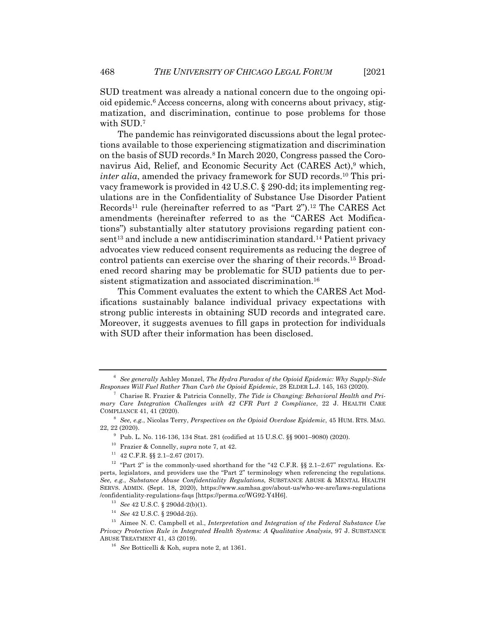SUD treatment was already a national concern due to the ongoing opioid epidemic.6 Access concerns, along with concerns about privacy, stigmatization, and discrimination, continue to pose problems for those with SUD.7

The pandemic has reinvigorated discussions about the legal protections available to those experiencing stigmatization and discrimination on the basis of SUD records.8 In March 2020, Congress passed the Coronavirus Aid, Relief, and Economic Security Act (CARES Act),<sup>9</sup> which, *inter alia*, amended the privacy framework for SUD records.<sup>10</sup> This privacy framework is provided in 42 U.S.C. § 290-dd; its implementing regulations are in the Confidentiality of Substance Use Disorder Patient Records<sup>11</sup> rule (hereinafter referred to as "Part 2").<sup>12</sup> The CARES Act amendments (hereinafter referred to as the "CARES Act Modifications") substantially alter statutory provisions regarding patient consent<sup>13</sup> and include a new antidiscrimination standard.<sup>14</sup> Patient privacy advocates view reduced consent requirements as reducing the degree of control patients can exercise over the sharing of their records.15 Broadened record sharing may be problematic for SUD patients due to persistent stigmatization and associated discrimination.<sup>16</sup>

This Comment evaluates the extent to which the CARES Act Modifications sustainably balance individual privacy expectations with strong public interests in obtaining SUD records and integrated care. Moreover, it suggests avenues to fill gaps in protection for individuals with SUD after their information has been disclosed.

<sup>6</sup> *See generally* Ashley Monzel, *The Hydra Paradox of the Opioid Epidemic: Why Supply-Side Responses Will Fuel Rather Than Curb the Opioid Epidemic*, 28 ELDER L.J. 145, 163 (2020).

<sup>7</sup> Charise R. Frazier & Patricia Connelly, *The Tide is Changing: Behavioral Health and Primary Care Integration Challenges with 42 CFR Part 2 Compliance*, 22 J. HEALTH CARE COMPLIANCE 41, 41 (2020).

<sup>8</sup> *See, e.g.*, Nicolas Terry, *Perspectives on the Opioid Overdose Epidemic*, 45 HUM. RTS. MAG. 22, 22 (2020).

<sup>9</sup> Pub. L. No. 116-136, 134 Stat. 281 (codified at 15 U.S.C. §§ 9001–9080) (2020).

<sup>10</sup> Frazier & Connelly, *supra* note 7, at 42.

 $11$  42 C.F.R. §§ 2.1-2.67 (2017).

<sup>&</sup>lt;sup>12</sup> "Part 2" is the commonly-used shorthand for the "42 C.F.R.  $\S$  2.1–2.67" regulations. Experts, legislators, and providers use the "Part 2" terminology when referencing the regulations. *See, e.g.*, *Substance Abuse Confidentiality Regulations*, SUBSTANCE ABUSE & MENTAL HEALTH SERVS. ADMIN. (Sept. 18, 2020), https://www.samhsa.gov/about-us/who-we-are/laws-regulations /confidentiality-regulations-faqs [https://perma.cc/WG92-Y4H6].

<sup>13</sup> *See* 42 U.S.C. § 290dd-2(b)(1).

<sup>14</sup> *See* 42 U.S.C. § 290dd-2(i).

<sup>15</sup> Aimee N. C. Campbell et al., *Interpretation and Integration of the Federal Substance Use Privacy Protection Rule in Integrated Health Systems: A Qualitative Analysis*, 97 J. SUBSTANCE ABUSE TREATMENT 41, 43 (2019).

<sup>16</sup> *See* Botticelli & Koh, supra note 2, at 1361.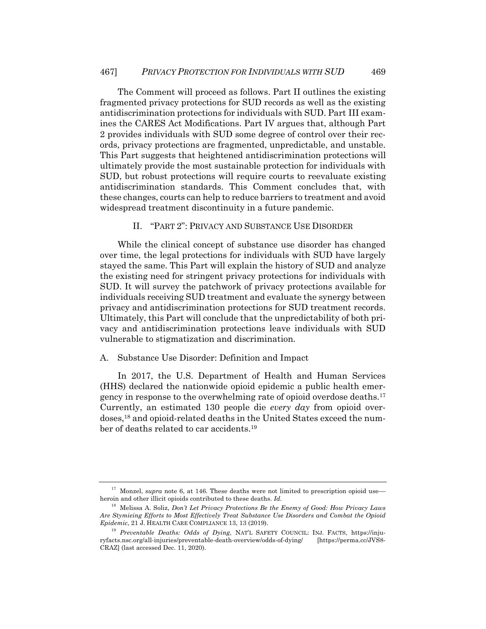The Comment will proceed as follows. Part II outlines the existing fragmented privacy protections for SUD records as well as the existing antidiscrimination protections for individuals with SUD. Part III examines the CARES Act Modifications. Part IV argues that, although Part 2 provides individuals with SUD some degree of control over their records, privacy protections are fragmented, unpredictable, and unstable. This Part suggests that heightened antidiscrimination protections will ultimately provide the most sustainable protection for individuals with SUD, but robust protections will require courts to reevaluate existing antidiscrimination standards. This Comment concludes that, with these changes, courts can help to reduce barriers to treatment and avoid widespread treatment discontinuity in a future pandemic.

II. "PART 2": PRIVACY AND SUBSTANCE USE DISORDER

While the clinical concept of substance use disorder has changed over time, the legal protections for individuals with SUD have largely stayed the same. This Part will explain the history of SUD and analyze the existing need for stringent privacy protections for individuals with SUD. It will survey the patchwork of privacy protections available for individuals receiving SUD treatment and evaluate the synergy between privacy and antidiscrimination protections for SUD treatment records. Ultimately, this Part will conclude that the unpredictability of both privacy and antidiscrimination protections leave individuals with SUD vulnerable to stigmatization and discrimination.

#### A. Substance Use Disorder: Definition and Impact

In 2017, the U.S. Department of Health and Human Services (HHS) declared the nationwide opioid epidemic a public health emergency in response to the overwhelming rate of opioid overdose deaths.17 Currently, an estimated 130 people die *every day* from opioid overdoses,18 and opioid-related deaths in the United States exceed the number of deaths related to car accidents.<sup>19</sup>

<sup>&</sup>lt;sup>17</sup> Monzel, *supra* note 6, at 146. These deaths were not limited to prescription opioid use heroin and other illicit opioids contributed to these deaths. *Id.*

<sup>18</sup> Melissa A. Soliz, *Don't Let Privacy Protections Be the Enemy of Good: How Privacy Laws Are Stymieing Efforts to Most Effectively Treat Substance Use Disorders and Combat the Opioid Epidemic*, 21 J. HEALTH CARE COMPLIANCE 13, 13 (2019).

<sup>19</sup> *Preventable Deaths: Odds of Dying*, NAT'L SAFETY COUNCIL: INJ. FACTS, https://injuryfacts.nsc.org/all-injuries/preventable-death-overview/odds-of-dying/ [https://perma.cc/JVS8- CRAZ] (last accessed Dec. 11, 2020).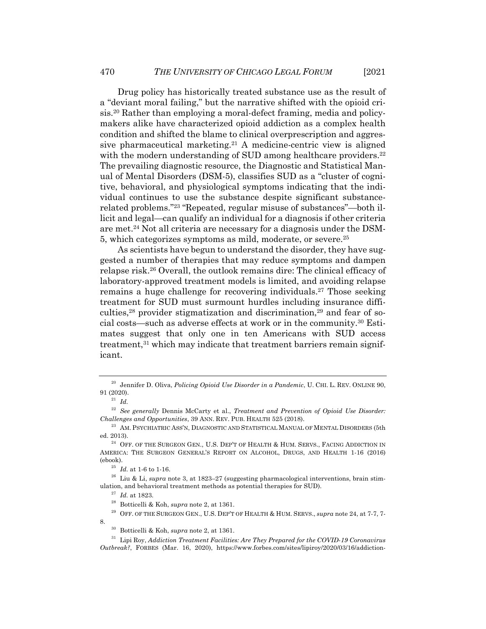Drug policy has historically treated substance use as the result of a "deviant moral failing," but the narrative shifted with the opioid crisis.20 Rather than employing a moral-defect framing, media and policymakers alike have characterized opioid addiction as a complex health condition and shifted the blame to clinical overprescription and aggressive pharmaceutical marketing.21 A medicine-centric view is aligned with the modern understanding of SUD among healthcare providers.<sup>22</sup> The prevailing diagnostic resource, the Diagnostic and Statistical Manual of Mental Disorders (DSM-5), classifies SUD as a "cluster of cognitive, behavioral, and physiological symptoms indicating that the individual continues to use the substance despite significant substancerelated problems."23 "Repeated, regular misuse of substances"—both illicit and legal—can qualify an individual for a diagnosis if other criteria are met.24 Not all criteria are necessary for a diagnosis under the DSM-5, which categorizes symptoms as mild, moderate, or severe.25

As scientists have begun to understand the disorder, they have suggested a number of therapies that may reduce symptoms and dampen relapse risk.26 Overall, the outlook remains dire: The clinical efficacy of laboratory-approved treatment models is limited, and avoiding relapse remains a huge challenge for recovering individuals.<sup>27</sup> Those seeking treatment for SUD must surmount hurdles including insurance difficulties,<sup>28</sup> provider stigmatization and discrimination,<sup>29</sup> and fear of social costs—such as adverse effects at work or in the community.30 Estimates suggest that only one in ten Americans with SUD access treatment,<sup>31</sup> which may indicate that treatment barriers remain significant.

<sup>20</sup> Jennifer D. Oliva, *Policing Opioid Use Disorder in a Pandemic*, U. CHI. L. REV. ONLINE 90, 91 (2020).

<sup>21</sup> *Id.*

<sup>22</sup> *See generally* Dennis McCarty et al., *Treatment and Prevention of Opioid Use Disorder: Challenges and Opportunities*, 39 ANN. REV. PUB. HEALTH 525 (2018).

<sup>&</sup>lt;sup>23</sup> AM. PSYCHIATRIC ASS'N, DIAGNOSTIC AND STATISTICAL MANUAL OF MENTAL DISORDERS (5th ed. 2013).

 $^{24}\,$  OFF. OF THE SURGEON GEN., U.S. DEP'T OF HEALTH & HUM. SERVS., FACING ADDICTION IN AMERICA: THE SURGEON GENERAL'S REPORT ON ALCOHOL, DRUGS, AND HEALTH 1-16 (2016) (ebook).

 $^{25}$  *Id.* at 1-6 to 1-16.

<sup>&</sup>lt;sup>26</sup> Liu & Li, *supra* note 3, at 1823–27 (suggesting pharmacological interventions, brain stimulation, and behavioral treatment methods as potential therapies for SUD).

<sup>27</sup> *Id.* at 1823.

<sup>28</sup> Botticelli & Koh, *supra* note 2, at 1361.

<sup>29</sup> OFF. OF THE SURGEON GEN., U.S. DEP'T OF HEALTH & HUM. SERVS., *supra* note 24, at 7-7, 7- 8.

<sup>30</sup> Botticelli & Koh, *supra* note 2, at 1361.

<sup>31</sup> Lipi Roy, *Addiction Treatment Facilities: Are They Prepared for the COVID-19 Coronavirus Outbreak?*, FORBES (Mar. 16, 2020), https://www.forbes.com/sites/lipiroy/2020/03/16/addiction-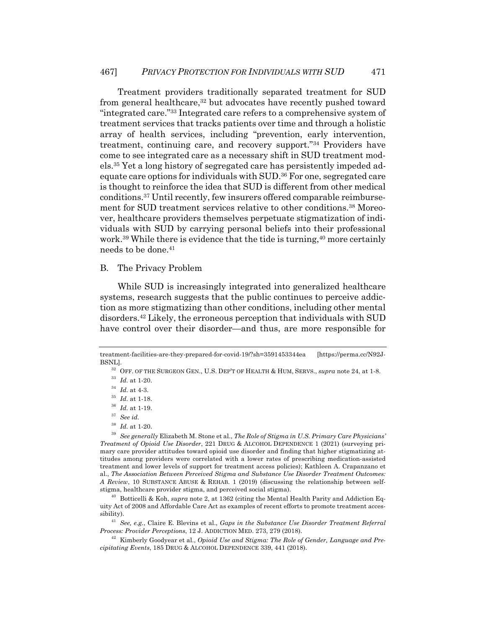Treatment providers traditionally separated treatment for SUD from general healthcare,<sup>32</sup> but advocates have recently pushed toward "integrated care."33 Integrated care refers to a comprehensive system of treatment services that tracks patients over time and through a holistic array of health services, including "prevention, early intervention, treatment, continuing care, and recovery support."34 Providers have come to see integrated care as a necessary shift in SUD treatment models.35 Yet a long history of segregated care has persistently impeded adequate care options for individuals with SUD.36 For one, segregated care is thought to reinforce the idea that SUD is different from other medical conditions.37 Until recently, few insurers offered comparable reimbursement for SUD treatment services relative to other conditions.38 Moreover, healthcare providers themselves perpetuate stigmatization of individuals with SUD by carrying personal beliefs into their professional work.<sup>39</sup> While there is evidence that the tide is turning,<sup>40</sup> more certainly needs to be done.41

#### B. The Privacy Problem

While SUD is increasingly integrated into generalized healthcare systems, research suggests that the public continues to perceive addiction as more stigmatizing than other conditions, including other mental disorders.42 Likely, the erroneous perception that individuals with SUD have control over their disorder—and thus, are more responsible for

<sup>38</sup> *Id.* at 1-20.

<sup>40</sup> Botticelli & Koh, *supra* note 2, at 1362 (citing the Mental Health Parity and Addiction Equity Act of 2008 and Affordable Care Act as examples of recent efforts to promote treatment accessibility).

<sup>41</sup> *See, e.g.*, Claire E. Blevins et al., *Gaps in the Substance Use Disorder Treatment Referral Process: Provider Perceptions*, 12 J. ADDICTION MED. 273, 279 (2018).

<sup>42</sup> Kimberly Goodyear et al., *Opioid Use and Stigma: The Role of Gender, Language and Precipitating Events*, 185 DRUG & ALCOHOL DEPENDENCE 339, 441 (2018).

treatment-facilities-are-they-prepared-for-covid-19/?sh=3591453344ea [https://perma.cc/N92J-BSNL].

<sup>32</sup> OFF. OF THE SURGEON GEN., U.S. DEP'T OF HEALTH & HUM, SERVS., *supra* note 24, at 1-8.

<sup>33</sup> *Id.* at 1-20.

 $^{34}$   $\,$   $\!d.\,$  at 4-3.

 $^\mathrm{35}$   $Id.$  at 1-18.

<sup>36</sup> *Id.* at 1-19.

<sup>37</sup> *See id.*

<sup>39</sup> *See generally* Elizabeth M. Stone et al., *The Role of Stigma in U.S. Primary Care Physicians' Treatment of Opioid Use Disorder*, 221 DRUG & ALCOHOL DEPENDENCE 1 (2021) (surveying primary care provider attitudes toward opioid use disorder and finding that higher stigmatizing attitudes among providers were correlated with a lower rates of prescribing medication-assisted treatment and lower levels of support for treatment access policies); Kathleen A. Crapanzano et al., *The Association Between Perceived Stigma and Substance Use Disorder Treatment Outcomes: A Review*, 10 SUBSTANCE ABUSE & REHAB. 1 (2019) (discussing the relationship between selfstigma, healthcare provider stigma, and perceived social stigma).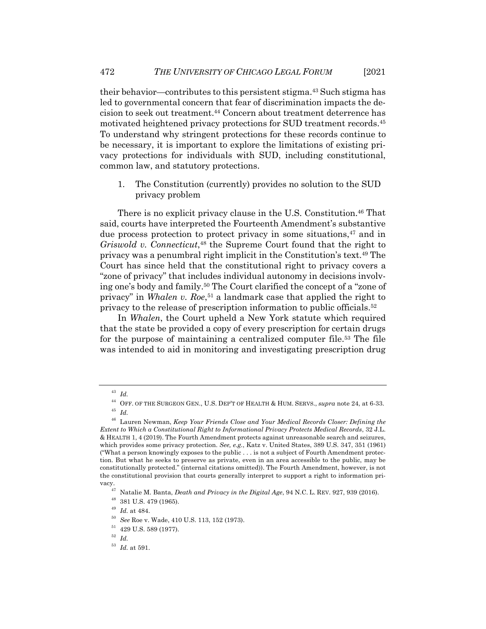their behavior—contributes to this persistent stigma.43 Such stigma has led to governmental concern that fear of discrimination impacts the decision to seek out treatment.44 Concern about treatment deterrence has motivated heightened privacy protections for SUD treatment records.45 To understand why stringent protections for these records continue to be necessary, it is important to explore the limitations of existing privacy protections for individuals with SUD, including constitutional, common law, and statutory protections.

1. The Constitution (currently) provides no solution to the SUD privacy problem

There is no explicit privacy clause in the U.S. Constitution.<sup>46</sup> That said, courts have interpreted the Fourteenth Amendment's substantive due process protection to protect privacy in some situations,<sup>47</sup> and in *Griswold v. Connecticut*,48 the Supreme Court found that the right to privacy was a penumbral right implicit in the Constitution's text.49 The Court has since held that the constitutional right to privacy covers a "zone of privacy" that includes individual autonomy in decisions involving one's body and family.50 The Court clarified the concept of a "zone of privacy" in *Whalen v. Roe*,<sup>51</sup> a landmark case that applied the right to privacy to the release of prescription information to public officials.52

In *Whalen*, the Court upheld a New York statute which required that the state be provided a copy of every prescription for certain drugs for the purpose of maintaining a centralized computer file.<sup>53</sup> The file was intended to aid in monitoring and investigating prescription drug

<sup>43</sup> *Id.*

<sup>44</sup> OFF. OF THE SURGEON GEN., U.S. DEP'T OF HEALTH & HUM. SERVS., *supra* note 24, at 6-33. <sup>45</sup> *Id.*

<sup>46</sup> Lauren Newman, *Keep Your Friends Close and Your Medical Records Closer: Defining the Extent to Which a Constitutional Right to Informational Privacy Protects Medical Records*, 32 J.L. & HEALTH 1, 4 (2019). The Fourth Amendment protects against unreasonable search and seizures, which provides some privacy protection. *See, e.g.*, Katz v. United States, 389 U.S. 347, 351 (1961) ("What a person knowingly exposes to the public . . . is not a subject of Fourth Amendment protection. But what he seeks to preserve as private, even in an area accessible to the public, may be constitutionally protected." (internal citations omitted)). The Fourth Amendment, however, is not the constitutional provision that courts generally interpret to support a right to information pri-

vacy.47 Natalie M. Banta, *Death and Privacy in the Digital Age*, 94 N.C. L. REV. 927, 939 (2016).

<sup>48</sup> 381 U.S. 479 (1965).

<sup>49</sup> *Id.* at 484.

<sup>50</sup> *See* Roe v. Wade, 410 U.S. 113, 152 (1973).

 $51$  429 U.S. 589 (1977).

<sup>52</sup> *Id.*

<sup>53</sup> *Id.* at 591.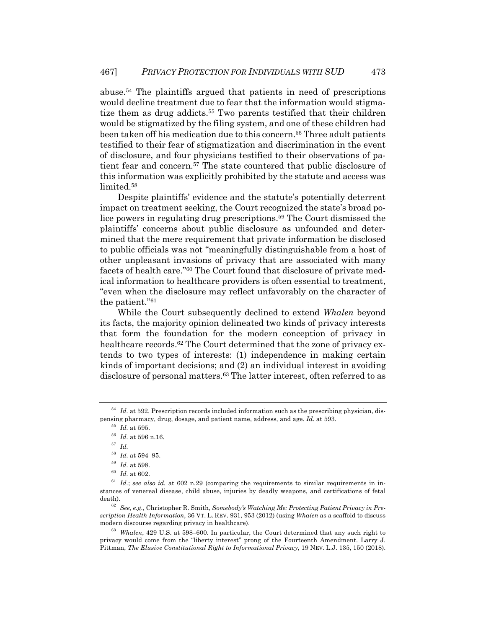abuse.54 The plaintiffs argued that patients in need of prescriptions would decline treatment due to fear that the information would stigmatize them as drug addicts.<sup>55</sup> Two parents testified that their children would be stigmatized by the filing system, and one of these children had been taken off his medication due to this concern.56 Three adult patients testified to their fear of stigmatization and discrimination in the event of disclosure, and four physicians testified to their observations of patient fear and concern.57 The state countered that public disclosure of this information was explicitly prohibited by the statute and access was limited.<sup>58</sup>

Despite plaintiffs' evidence and the statute's potentially deterrent impact on treatment seeking, the Court recognized the state's broad police powers in regulating drug prescriptions.59 The Court dismissed the plaintiffs' concerns about public disclosure as unfounded and determined that the mere requirement that private information be disclosed to public officials was not "meaningfully distinguishable from a host of other unpleasant invasions of privacy that are associated with many facets of health care."60 The Court found that disclosure of private medical information to healthcare providers is often essential to treatment, "even when the disclosure may reflect unfavorably on the character of the patient."61

While the Court subsequently declined to extend *Whalen* beyond its facts, the majority opinion delineated two kinds of privacy interests that form the foundation for the modern conception of privacy in healthcare records.<sup>62</sup> The Court determined that the zone of privacy extends to two types of interests: (1) independence in making certain kinds of important decisions; and (2) an individual interest in avoiding disclosure of personal matters.<sup>63</sup> The latter interest, often referred to as

 $^{55}\,$   $Id.\;{\rm at}\;595.$ 

<sup>57</sup> *Id.*

<sup>&</sup>lt;sup>54</sup> *Id.* at 592. Prescription records included information such as the prescribing physician, dispensing pharmacy, drug, dosage, and patient name, address, and age. *Id.* at 593.

<sup>56</sup> *Id.* at 596 n.16.

 $^{58}$   $\emph{Id.}$  at 594–95.

 $^{59}$   $\emph{Id.}$  at 598.

 $160$  *Id.* at 602.

<sup>61</sup> *Id.*; *see also id.* at 602 n.29 (comparing the requirements to similar requirements in instances of venereal disease, child abuse, injuries by deadly weapons, and certifications of fetal death).

<sup>62</sup> *See, e.g.*, Christopher R. Smith, *Somebody's Watching Me: Protecting Patient Privacy in Prescription Health Information*, 36 VT. L. REV. 931, 953 (2012) (using *Whalen* as a scaffold to discuss modern discourse regarding privacy in healthcare).

<sup>63</sup> *Whalen*, 429 U.S. at 598–600. In particular, the Court determined that any such right to privacy would come from the "liberty interest" prong of the Fourteenth Amendment. Larry J. Pittman, *The Elusive Constitutional Right to Informational Privacy*, 19 NEV. L.J. 135, 150 (2018).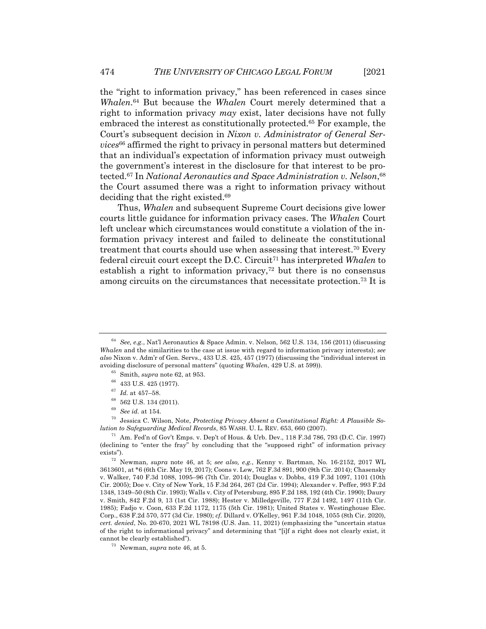the "right to information privacy," has been referenced in cases since *Whalen*. <sup>64</sup> But because the *Whalen* Court merely determined that a right to information privacy *may* exist, later decisions have not fully embraced the interest as constitutionally protected.65 For example, the Court's subsequent decision in *Nixon v. Administrator of General Services*<sup>66</sup> affirmed the right to privacy in personal matters but determined that an individual's expectation of information privacy must outweigh the government's interest in the disclosure for that interest to be protected.67 In *National Aeronautics and Space Administration v. Nelson*, 68 the Court assumed there was a right to information privacy without deciding that the right existed.69

Thus, *Whalen* and subsequent Supreme Court decisions give lower courts little guidance for information privacy cases. The *Whalen* Court left unclear which circumstances would constitute a violation of the information privacy interest and failed to delineate the constitutional treatment that courts should use when assessing that interest.70 Every federal circuit court except the D.C. Circuit71 has interpreted *Whalen* to establish a right to information privacy,<sup>72</sup> but there is no consensus among circuits on the circumstances that necessitate protection.73 It is

<sup>70</sup> Jessica C. Wilson, Note, *Protecting Privacy Absent a Constitutional Right: A Plausible Solution to Safeguarding Medical Records*, 85 WASH. U. L. REV. 653, 660 (2007).

 $71$  Am. Fed'n of Gov't Emps. v. Dep't of Hous. & Urb. Dev., 118 F.3d 786, 793 (D.C. Cir. 1997) (declining to "enter the fray" by concluding that the "supposed right" of information privacy exists").

<sup>72</sup> Newman, *supra* note 46, at 5; *see also, e.g.*, Kenny v. Bartman, No. 16-2152, 2017 WL 3613601, at \*6 (6th Cir. May 19, 2017); Coons v. Lew, 762 F.3d 891, 900 (9th Cir. 2014); Chasensky v. Walker, 740 F.3d 1088, 1095–96 (7th Cir. 2014); Douglas v. Dobbs, 419 F.3d 1097, 1101 (10th Cir. 2005); Doe v. City of New York, 15 F.3d 264, 267 (2d Cir. 1994); Alexander v. Peffer, 993 F.2d 1348, 1349–50 (8th Cir. 1993); Walls v. City of Petersburg, 895 F.2d 188, 192 (4th Cir. 1990); Daury v. Smith, 842 F.2d 9, 13 (1st Cir. 1988); Hester v. Milledgeville, 777 F.2d 1492, 1497 (11th Cir. 1985); Fadjo v. Coon, 633 F.2d 1172, 1175 (5th Cir. 1981); United States v. Westinghouse Elec. Corp., 638 F.2d 570, 577 (3d Cir. 1980); *cf.* Dillard v. O'Kelley, 961 F.3d 1048, 1055 (8th Cir. 2020), *cert. denied*, No. 20-670, 2021 WL 78198 (U.S. Jan. 11, 2021) (emphasizing the "uncertain status of the right to informational privacy" and determining that "[i]f a right does not clearly exist, it cannot be clearly established").

<sup>64</sup> *See, e.g.*, Nat'l Aeronautics & Space Admin. v. Nelson, 562 U.S. 134, 156 (2011) (discussing *Whalen* and the similarities to the case at issue with regard to information privacy interests); *see also* Nixon v. Adm'r of Gen. Servs., 433 U.S. 425, 457 (1977) (discussing the "individual interest in avoiding disclosure of personal matters" (quoting *Whalen*, 429 U.S. at 599)).

<sup>65</sup> Smith, *supra* note 62, at 953.

<sup>66</sup> 433 U.S. 425 (1977).

<sup>67</sup> *Id.* at 457–58.

<sup>68</sup> 562 U.S. 134 (2011).

<sup>69</sup> *See id.* at 154.

<sup>73</sup> Newman, *supra* note 46, at 5.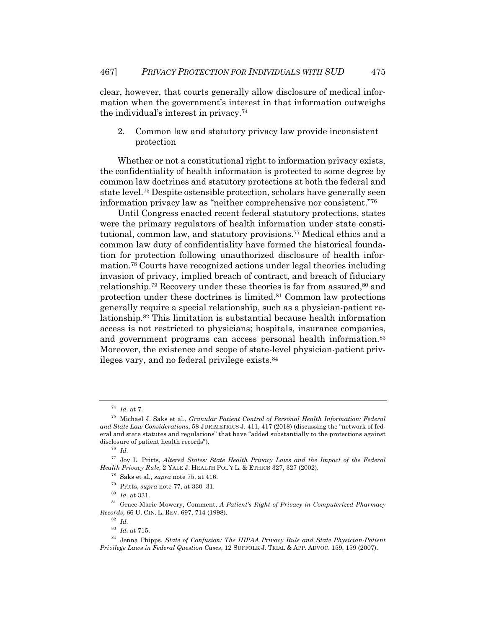clear, however, that courts generally allow disclosure of medical information when the government's interest in that information outweighs the individual's interest in privacy.74

2. Common law and statutory privacy law provide inconsistent protection

Whether or not a constitutional right to information privacy exists, the confidentiality of health information is protected to some degree by common law doctrines and statutory protections at both the federal and state level.75 Despite ostensible protection, scholars have generally seen information privacy law as "neither comprehensive nor consistent."76

Until Congress enacted recent federal statutory protections, states were the primary regulators of health information under state constitutional, common law, and statutory provisions.77 Medical ethics and a common law duty of confidentiality have formed the historical foundation for protection following unauthorized disclosure of health information.78 Courts have recognized actions under legal theories including invasion of privacy, implied breach of contract, and breach of fiduciary relationship.<sup>79</sup> Recovery under these theories is far from assured,  $80$  and protection under these doctrines is limited.81 Common law protections generally require a special relationship, such as a physician-patient relationship.82 This limitation is substantial because health information access is not restricted to physicians; hospitals, insurance companies, and government programs can access personal health information.<sup>83</sup> Moreover, the existence and scope of state-level physician-patient privileges vary, and no federal privilege exists.84

<sup>74</sup> *Id.* at 7.

<sup>75</sup> Michael J. Saks et al., *Granular Patient Control of Personal Health Information: Federal and State Law Considerations*, 58 JURIMETRICS J. 411, 417 (2018) (discussing the "network of federal and state statutes and regulations" that have "added substantially to the protections against disclosure of patient health records").

<sup>76</sup> *Id.*

<sup>77</sup> Joy L. Pritts, *Altered States: State Health Privacy Laws and the Impact of the Federal Health Privacy Rule*, 2 YALE J. HEALTH POL'Y L. & ETHICS 327, 327 (2002).

<sup>78</sup> Saks et al., *supra* note 75, at 416.

<sup>79</sup> Pritts, *supra* note 77, at 330–31.

<sup>80</sup> *Id.* at 331.

<sup>81</sup> Grace-Marie Mowery, Comment, *A Patient's Right of Privacy in Computerized Pharmacy Records*, 66 U. CIN. L. REV. 697, 714 (1998).

<sup>82</sup> *Id.*

<sup>83</sup> *Id.* at 715.

<sup>84</sup> Jenna Phipps, *State of Confusion: The HIPAA Privacy Rule and State Physician-Patient Privilege Laws in Federal Question Cases*, 12 SUFFOLK J. TRIAL & APP. ADVOC. 159, 159 (2007).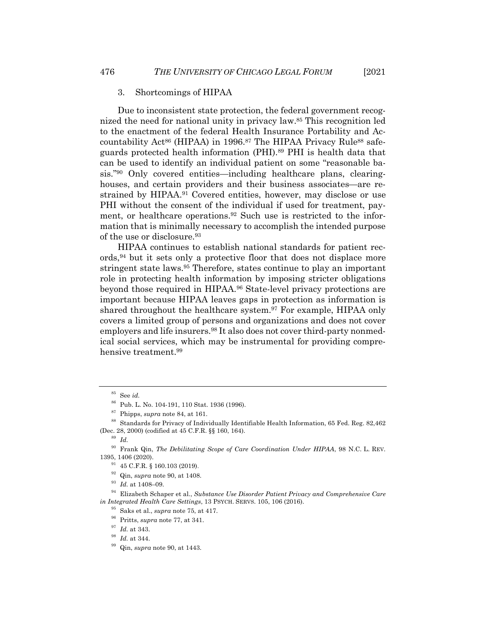#### 3. Shortcomings of HIPAA

Due to inconsistent state protection, the federal government recognized the need for national unity in privacy law.85 This recognition led to the enactment of the federal Health Insurance Portability and Accountability Act<sup>86</sup> (HIPAA) in 1996.<sup>87</sup> The HIPAA Privacy Rule<sup>88</sup> safeguards protected health information (PHI).<sup>89</sup> PHI is health data that can be used to identify an individual patient on some "reasonable basis."90 Only covered entities—including healthcare plans, clearinghouses, and certain providers and their business associates—are restrained by HIPAA.91 Covered entities, however, may disclose or use PHI without the consent of the individual if used for treatment, payment, or healthcare operations.92 Such use is restricted to the information that is minimally necessary to accomplish the intended purpose of the use or disclosure.<sup>93</sup>

HIPAA continues to establish national standards for patient records,94 but it sets only a protective floor that does not displace more stringent state laws.95 Therefore, states continue to play an important role in protecting health information by imposing stricter obligations beyond those required in HIPAA.96 State-level privacy protections are important because HIPAA leaves gaps in protection as information is shared throughout the healthcare system.<sup>97</sup> For example, HIPAA only covers a limited group of persons and organizations and does not cover employers and life insurers.<sup>98</sup> It also does not cover third-party nonmedical social services, which may be instrumental for providing comprehensive treatment.99

<sup>92</sup> Qin, *supra* note 90, at 1408.

<sup>85</sup> See *id.*

<sup>86</sup> Pub. L. No. 104-191, 110 Stat. 1936 (1996).

<sup>87</sup> Phipps, *supra* note 84, at 161.

<sup>88</sup> Standards for Privacy of Individually Identifiable Health Information, 65 Fed. Reg. 82,462 (Dec. 28, 2000) (codified at 45 C.F.R. §§ 160, 164).

<sup>89</sup> *Id.*

<sup>90</sup> Frank Qin, *The Debilitating Scope of Care Coordination Under HIPAA*, 98 N.C. L. REV. 1395, 1406 (2020).

 $91$  45 C.F.R. § 160.103 (2019).

<sup>93</sup> *Id.* at 1408–09.

<sup>94</sup> Elizabeth Schaper et al., *Substance Use Disorder Patient Privacy and Comprehensive Care in Integrated Health Care Settings*, 13 PSYCH. SERVS. 105, 106 (2016).

<sup>95</sup> Saks et al., *supra* note 75, at 417.

<sup>96</sup> Pritts, *supra* note 77, at 341.

<sup>97</sup> *Id.* at 343.

<sup>98</sup> *Id.* at 344.

<sup>99</sup> Qin, *supra* note 90, at 1443.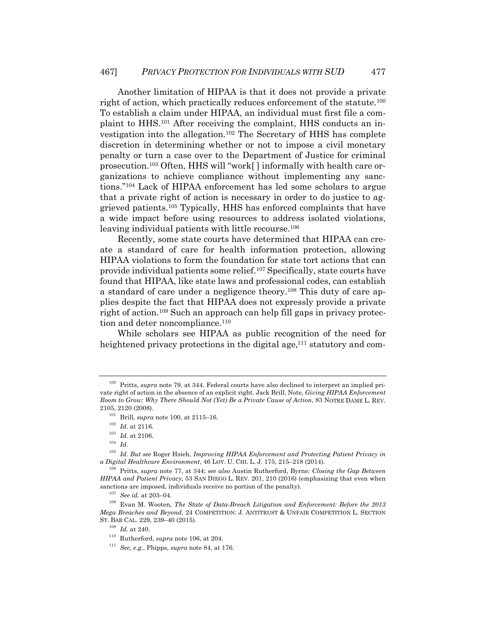Another limitation of HIPAA is that it does not provide a private right of action, which practically reduces enforcement of the statute.100 To establish a claim under HIPAA, an individual must first file a complaint to HHS.101 After receiving the complaint, HHS conducts an investigation into the allegation.102 The Secretary of HHS has complete discretion in determining whether or not to impose a civil monetary penalty or turn a case over to the Department of Justice for criminal prosecution.103 Often, HHS will "work[ ] informally with health care organizations to achieve compliance without implementing any sanctions."104 Lack of HIPAA enforcement has led some scholars to argue that a private right of action is necessary in order to do justice to aggrieved patients.105 Typically, HHS has enforced complaints that have a wide impact before using resources to address isolated violations, leaving individual patients with little recourse.<sup>106</sup>

Recently, some state courts have determined that HIPAA can create a standard of care for health information protection, allowing HIPAA violations to form the foundation for state tort actions that can provide individual patients some relief.107 Specifically, state courts have found that HIPAA, like state laws and professional codes, can establish a standard of care under a negligence theory.<sup>108</sup> This duty of care applies despite the fact that HIPAA does not expressly provide a private right of action.109 Such an approach can help fill gaps in privacy protection and deter noncompliance.<sup>110</sup>

While scholars see HIPAA as public recognition of the need for heightened privacy protections in the digital age,<sup>111</sup> statutory and com-

<sup>&</sup>lt;sup>100</sup> Pritts, *supra* note 79, at 344. Federal courts have also declined to interpret an implied private right of action in the absence of an explicit right. Jack Brill, Note, *Giving HIPAA Enforcement Room to Grow: Why There Should Not (Yet) Be a Private Cause of Action*, 83 NOTRE DAME L. REV. 2105, 2120 (2008).

<sup>101</sup> Brill, *supra* note 100, at 2115–16.

 $^{102}\,$   $Id.\;$  at 2116.

 $^{103}\,$   $Id.$  at 2106.

<sup>104</sup> *Id.*

<sup>105</sup> *Id. But see* Roger Hsieh, *Improving HIPAA Enforcement and Protecting Patient Privacy in a Digital Healthcare Environment*, 46 LOY. U. CHI. L. J. 175, 215–218 (2014).

<sup>106</sup> Pritts, *supra* note 77, at 344; *see also* Austin Rutherford, Byrne*: Closing the Gap Between HIPAA and Patient Privacy*, 53 SAN DIEGO L. REV. 201, 210 (2016) (emphasizing that even when sanctions are imposed, individuals receive no portion of the penalty).

<sup>107</sup> *See id.* at 203–04.

<sup>108</sup> Evan M. Wooten, *The State of Data-Breach Litigation and Enforcement: Before the 2013 Mega Breaches and Beyond*, 24 COMPETITION: J. ANTITRUST & UNFAIR COMPETITION L. SECTION ST. BAR CAL. 229, 239–40 (2015).

<sup>109</sup> *Id.* at 240.

<sup>110</sup> Rutherford, *supra* note 106, at 204.

<sup>111</sup> *See, e.g.*, Phipps, *supra* note 84, at 176.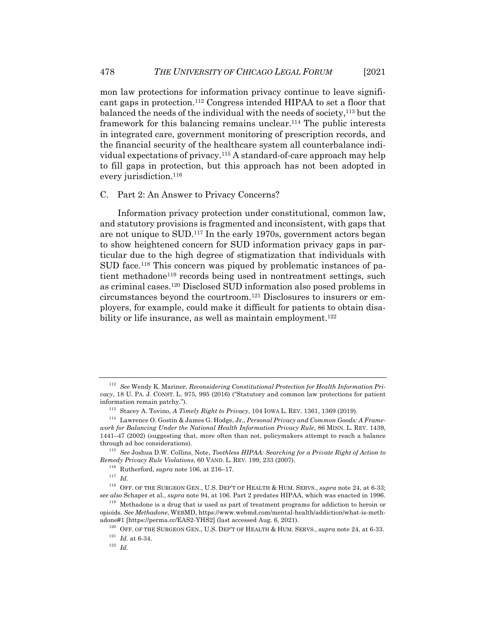mon law protections for information privacy continue to leave significant gaps in protection.112 Congress intended HIPAA to set a floor that balanced the needs of the individual with the needs of society,<sup>113</sup> but the framework for this balancing remains unclear.114 The public interests in integrated care, government monitoring of prescription records, and the financial security of the healthcare system all counterbalance individual expectations of privacy.115 A standard-of-care approach may help to fill gaps in protection, but this approach has not been adopted in every jurisdiction.<sup>116</sup>

#### C. Part 2: An Answer to Privacy Concerns?

Information privacy protection under constitutional, common law, and statutory provisions is fragmented and inconsistent, with gaps that are not unique to SUD.117 In the early 1970s, government actors began to show heightened concern for SUD information privacy gaps in particular due to the high degree of stigmatization that individuals with SUD face.118 This concern was piqued by problematic instances of patient methadone<sup>119</sup> records being used in nontreatment settings, such as criminal cases.120 Disclosed SUD information also posed problems in circumstances beyond the courtroom.121 Disclosures to insurers or employers, for example, could make it difficult for patients to obtain disability or life insurance, as well as maintain employment.<sup>122</sup>

 $^{121}\,$   $Id.\,$  at 6-34.

<sup>112</sup> *See* Wendy K. Mariner, *Reconsidering Constitutional Protection for Health Information Privacy*, 18 U. PA. J. CONST. L. 975, 995 (2016) ("Statutory and common law protections for patient information remain patchy.").

<sup>113</sup> Stacey A. Tovino, *A Timely Right to Privacy*, 104 IOWA L. REV. 1361, 1369 (2019).

<sup>114</sup> Lawrence O. Gostin & James G. Hodge, Jr., *Personal Privacy and Common Goods: A Framework for Balancing Under the National Health Information Privacy Rule*, 86 MINN. L. REV. 1439, 1441–47 (2002) (suggesting that, more often than not, policymakers attempt to reach a balance through ad hoc considerations).

<sup>115</sup> *See* Joshua D.W. Collins, Note, *Toothless HIPAA: Searching for a Private Right of Action to Remedy Privacy Rule Violations*, 60 VAND. L. REV. 199, 233 (2007).

 $^{116}\,$  Rutherford,  $supra$  note 106, at 216–17.

<sup>117</sup> *Id.*

<sup>118</sup> OFF. OF THE SURGEON GEN., U.S. DEP'T OF HEALTH & HUM. SERVS., *supra* note 24, at 6-33; *see also* Schaper et al., *supra* note 94, at 106. Part 2 predates HIPAA, which was enacted in 1996.

<sup>&</sup>lt;sup>119</sup> Methadone is a drug that is used as part of treatment programs for addiction to heroin or opioids. *See Methadone*, WEBMD, https://www.webmd.com/mental-health/addiction/what-is-methadone#1 [https://perma.cc/EAS2-YHS2] (last accessed Aug. 6, 2021).

<sup>120</sup> OFF. OF THE SURGEON GEN., U.S. DEP'T OF HEALTH & HUM. SERVS., *supra* note 24, at 6-33.

<sup>122</sup> *Id.*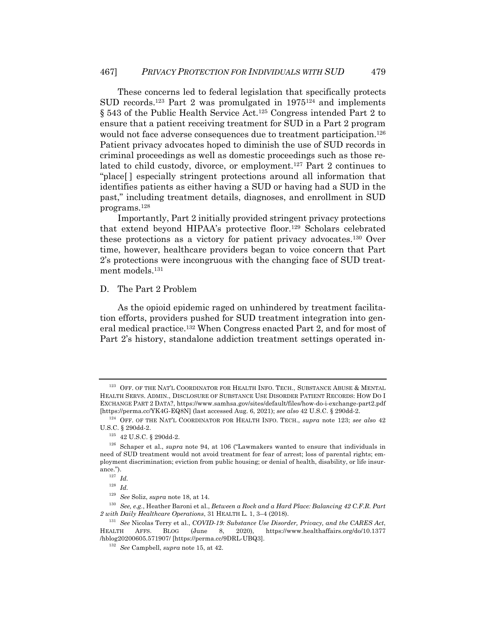These concerns led to federal legislation that specifically protects SUD records.<sup>123</sup> Part 2 was promulgated in  $1975^{124}$  and implements § 543 of the Public Health Service Act.<sup>125</sup> Congress intended Part 2 to ensure that a patient receiving treatment for SUD in a Part 2 program would not face adverse consequences due to treatment participation.<sup>126</sup> Patient privacy advocates hoped to diminish the use of SUD records in criminal proceedings as well as domestic proceedings such as those related to child custody, divorce, or employment.127 Part 2 continues to "place[ ] especially stringent protections around all information that identifies patients as either having a SUD or having had a SUD in the past," including treatment details, diagnoses, and enrollment in SUD programs.128

Importantly, Part 2 initially provided stringent privacy protections that extend beyond HIPAA's protective floor.129 Scholars celebrated these protections as a victory for patient privacy advocates.130 Over time, however, healthcare providers began to voice concern that Part 2's protections were incongruous with the changing face of SUD treatment models.<sup>131</sup>

#### D. The Part 2 Problem

As the opioid epidemic raged on unhindered by treatment facilitation efforts, providers pushed for SUD treatment integration into general medical practice.132 When Congress enacted Part 2, and for most of Part 2's history, standalone addiction treatment settings operated in-

<sup>&</sup>lt;sup>123</sup> OFF. OF THE NAT'L COORDINATOR FOR HEALTH INFO. TECH., SUBSTANCE ABUSE & MENTAL HEALTH SERVS. ADMIN., DISCLOSURE OF SUBSTANCE USE DISORDER PATIENT RECORDS: HOW DO I EXCHANGE PART 2 DATA?, https://www.samhsa.gov/sites/default/files/how-do-i-exchange-part2.pdf [https://perma.cc/YK4G-EQ8N] (last accessed Aug. 6, 2021); *see also* 42 U.S.C. § 290dd-2.

<sup>124</sup> OFF. OF THE NAT'L COORDINATOR FOR HEALTH INFO. TECH., *supra* note 123; *see also* 42 U.S.C. § 290dd-2.

 $^{125}$   $\,$  42 U.S.C. § 290dd-2.

<sup>126</sup> Schaper et al., *supra* note 94, at 106 ("Lawmakers wanted to ensure that individuals in need of SUD treatment would not avoid treatment for fear of arrest; loss of parental rights; employment discrimination; eviction from public housing; or denial of health, disability, or life insurance.").

<sup>127</sup> *Id.*

<sup>128</sup> *Id.*

<sup>129</sup> *See* Soliz, *supra* note 18, at 14.

<sup>130</sup> *See, e.g.*, Heather Baroni et al., *Between a Rock and a Hard Place: Balancing 42 C.F.R. Part 2 with Daily Healthcare Operations*, 31 HEALTH L. 1, 3–4 (2018).

<sup>131</sup> *See* Nicolas Terry et al., *COVID-19: Substance Use Disorder, Privacy, and the CARES Act*, HEALTH AFFS. BLOG (June 8, 2020), https://www.healthaffairs.org/do/10.1377 /hblog20200605.571907/ [https://perma.cc/9DRL-UBQ3].

<sup>132</sup> *See* Campbell, *supra* note 15, at 42.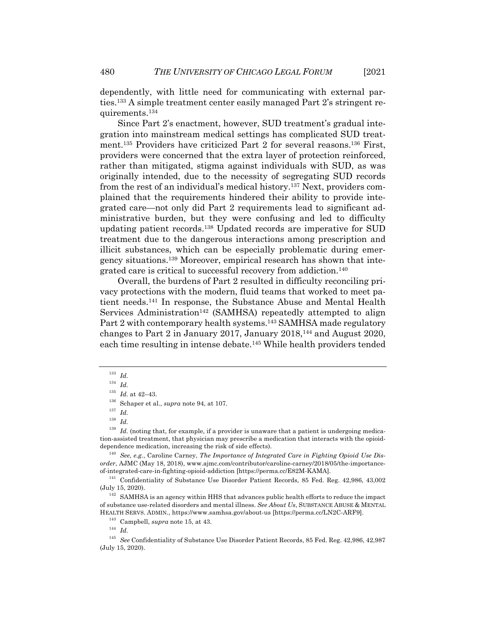dependently, with little need for communicating with external parties.133 A simple treatment center easily managed Part 2's stringent requirements.134

Since Part 2's enactment, however, SUD treatment's gradual integration into mainstream medical settings has complicated SUD treatment.135 Providers have criticized Part 2 for several reasons.136 First, providers were concerned that the extra layer of protection reinforced, rather than mitigated, stigma against individuals with SUD, as was originally intended, due to the necessity of segregating SUD records from the rest of an individual's medical history.137 Next, providers complained that the requirements hindered their ability to provide integrated care—not only did Part 2 requirements lead to significant administrative burden, but they were confusing and led to difficulty updating patient records.138 Updated records are imperative for SUD treatment due to the dangerous interactions among prescription and illicit substances, which can be especially problematic during emergency situations.139 Moreover, empirical research has shown that integrated care is critical to successful recovery from addiction.140

Overall, the burdens of Part 2 resulted in difficulty reconciling privacy protections with the modern, fluid teams that worked to meet patient needs.141 In response, the Substance Abuse and Mental Health Services Administration<sup>142</sup> (SAMHSA) repeatedly attempted to align Part 2 with contemporary health systems.<sup>143</sup> SAMHSA made regulatory changes to Part 2 in January 2017, January 2018,144 and August 2020, each time resulting in intense debate.<sup>145</sup> While health providers tended

<sup>133</sup> *Id.*

<sup>134</sup> *Id.*

 $^{135}$   $\emph{Id.}$  at 42–43.

<sup>136</sup> Schaper et al., *supra* note 94, at 107.

<sup>137</sup> *Id.*

<sup>138</sup> *Id.*

 $139$  *Id.* (noting that, for example, if a provider is unaware that a patient is undergoing medication-assisted treatment, that physician may prescribe a medication that interacts with the opioiddependence medication, increasing the risk of side effects).

<sup>140</sup> *See, e.g.*, Caroline Carney, *The Importance of Integrated Care in Fighting Opioid Use Disorder*, AJMC (May 18, 2018), www.ajmc.com/contributor/caroline-carney/2018/05/the-importanceof-integrated-care-in-fighting-opioid-addiction [https://perma.cc/E82M-KAMA].

<sup>141</sup> Confidentiality of Substance Use Disorder Patient Records, 85 Fed. Reg. 42,986, 43,002 (July 15, 2020).

<sup>&</sup>lt;sup>142</sup> SAMHSA is an agency within HHS that advances public health efforts to reduce the impact of substance use-related disorders and mental illness. *See About Us*, SUBSTANCE ABUSE & MENTAL HEALTH SERVS. ADMIN., https://www.samhsa.gov/about-us [https://perma.cc/LN2C-ARF9].

<sup>143</sup> Campbell, *supra* note 15, at 43.

<sup>144</sup> *Id.*

<sup>145</sup> *See* Confidentiality of Substance Use Disorder Patient Records, 85 Fed. Reg. 42,986, 42,987 (July 15, 2020).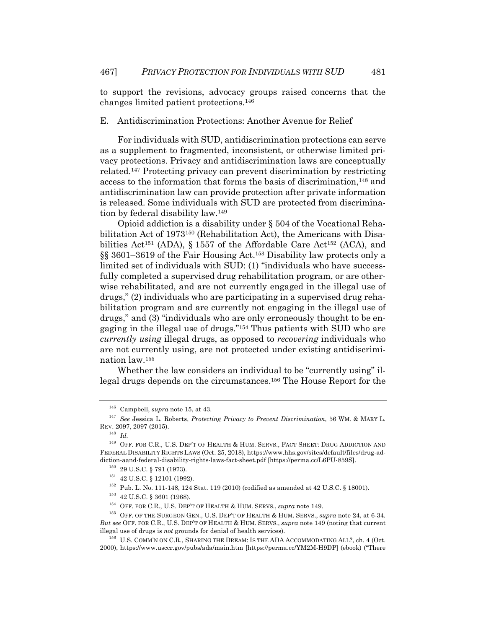to support the revisions, advocacy groups raised concerns that the changes limited patient protections.146

#### E. Antidiscrimination Protections: Another Avenue for Relief

For individuals with SUD, antidiscrimination protections can serve as a supplement to fragmented, inconsistent, or otherwise limited privacy protections. Privacy and antidiscrimination laws are conceptually related.147 Protecting privacy can prevent discrimination by restricting access to the information that forms the basis of discrimination,<sup>148</sup> and antidiscrimination law can provide protection after private information is released. Some individuals with SUD are protected from discrimination by federal disability law.149

Opioid addiction is a disability under § 504 of the Vocational Rehabilitation Act of 1973150 (Rehabilitation Act), the Americans with Disabilities Act<sup>151</sup> (ADA), § 1557 of the Affordable Care Act<sup>152</sup> (ACA), and §§ 3601–3619 of the Fair Housing Act.153 Disability law protects only a limited set of individuals with SUD: (1) "individuals who have successfully completed a supervised drug rehabilitation program, or are otherwise rehabilitated, and are not currently engaged in the illegal use of drugs," (2) individuals who are participating in a supervised drug rehabilitation program and are currently not engaging in the illegal use of drugs," and (3) "individuals who are only erroneously thought to be engaging in the illegal use of drugs."154 Thus patients with SUD who are *currently using* illegal drugs, as opposed to *recovering* individuals who are not currently using, are not protected under existing antidiscrimination law.155

Whether the law considers an individual to be "currently using" illegal drugs depends on the circumstances.156 The House Report for the

<sup>146</sup> Campbell, *supra* note 15, at 43.

<sup>147</sup> *See* Jessica L. Roberts, *Protecting Privacy to Prevent Discrimination*, 56 WM. & MARY L. REV. 2097, 2097 (2015).

<sup>148</sup> *Id.*

 $^{149}\,$  OFF. FOR C.R., U.S. DEP'T OF HEALTH & HUM. SERVS., FACT SHEET: DRUG ADDICTION AND FEDERAL DISABILITY RIGHTS LAWS (Oct. 25, 2018), https://www.hhs.gov/sites/default/files/drug-addiction-aand-federal-disability-rights-laws-fact-sheet.pdf [https://perma.cc/L6PU-859S].

 $^{150}$  29 U.S.C.  $\S$  791 (1973).

<sup>151</sup> 42 U.S.C. § 12101 (1992).

 $^{152}$  Pub. L. No. 111-148, 124 Stat. 119 (2010) (codified as amended at 42 U.S.C. § 18001).

<sup>153</sup> 42 U.S.C. § 3601 (1968).

<sup>154</sup> OFF. FOR C.R., U.S. DEP'T OF HEALTH & HUM. SERVS., *supra* note 149.

<sup>155</sup> OFF. OF THE SURGEON GEN., U.S. DEP'T OF HEALTH & HUM. SERVS., *supra* note 24, at 6-34. *But see* OFF. FOR C.R., U.S. DEP'T OF HEALTH & HUM. SERVS., *supra* note 149 (noting that current illegal use of drugs is *not* grounds for denial of health services).

<sup>156</sup> U.S. COMM'N ON C.R., SHARING THE DREAM: IS THE ADA ACCOMMODATING ALL?, ch. 4 (Oct. 2000), https://www.usccr.gov/pubs/ada/main.htm [https://perma.cc/YM2M-H9DP] (ebook) ("There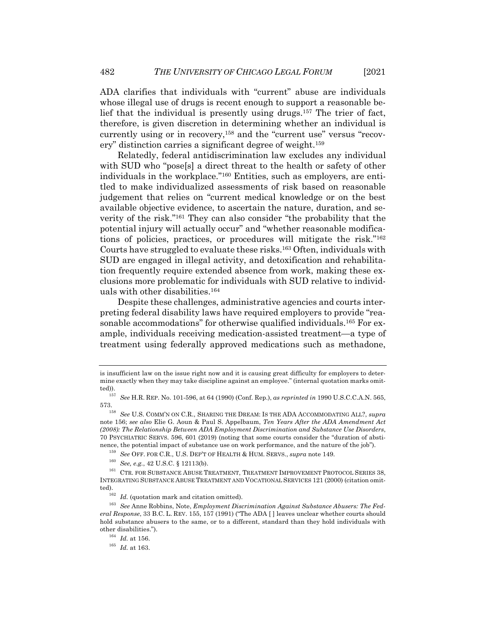ADA clarifies that individuals with "current" abuse are individuals whose illegal use of drugs is recent enough to support a reasonable belief that the individual is presently using drugs.157 The trier of fact, therefore, is given discretion in determining whether an individual is currently using or in recovery,<sup>158</sup> and the "current use" versus "recovery" distinction carries a significant degree of weight.159

Relatedly, federal antidiscrimination law excludes any individual with SUD who "pose[s] a direct threat to the health or safety of other individuals in the workplace."160 Entities, such as employers, are entitled to make individualized assessments of risk based on reasonable judgement that relies on "current medical knowledge or on the best available objective evidence, to ascertain the nature, duration, and severity of the risk."161 They can also consider "the probability that the potential injury will actually occur" and "whether reasonable modifications of policies, practices, or procedures will mitigate the risk."162 Courts have struggled to evaluate these risks.163 Often, individuals with SUD are engaged in illegal activity, and detoxification and rehabilitation frequently require extended absence from work, making these exclusions more problematic for individuals with SUD relative to individuals with other disabilities.164

Despite these challenges, administrative agencies and courts interpreting federal disability laws have required employers to provide "reasonable accommodations" for otherwise qualified individuals.165 For example, individuals receiving medication-assisted treatment—a type of treatment using federally approved medications such as methadone,

<sup>159</sup> *See* OFF. FOR C.R., U.S. DEP'T OF HEALTH & HUM. SERVS., *supra* note 149.

is insufficient law on the issue right now and it is causing great difficulty for employers to determine exactly when they may take discipline against an employee." (internal quotation marks omitted)).

<sup>157</sup> *See* H.R. REP. No. 101-596, at 64 (1990) (Conf. Rep.), *as reprinted in* 1990 U.S.C.C.A.N. 565, 573.158 *See* U.S. COMM'N ON C.R., SHARING THE DREAM: IS THE ADA ACCOMMODATING ALL?, *supra*

note 156; *see also* Elie G. Aoun & Paul S. Appelbaum, *Ten Years After the ADA Amendment Act (2008): The Relationship Between ADA Employment Discrimination and Substance Use Disorders*, 70 PSYCHIATRIC SERVS. 596, 601 (2019) (noting that some courts consider the "duration of abstinence, the potential impact of substance use on work performance, and the nature of the job").

<sup>160</sup> *See, e.g.*, 42 U.S.C. § 12113(b).

<sup>&</sup>lt;sup>161</sup> CTR. FOR SUBSTANCE ABUSE TREATMENT, TREATMENT IMPROVEMENT PROTOCOL SERIES 38, INTEGRATING SUBSTANCE ABUSE TREATMENT AND VOCATIONAL SERVICES 121 (2000) (citation omitted).<br><sup>162</sup> *Id.* (quotation mark and citation omitted).

<sup>163</sup> *See* Anne Robbins, Note, *Employment Discrimination Against Substance Abusers: The Federal Response*, 33 B.C. L. REV. 155, 157 (1991) ("The ADA [ ] leaves unclear whether courts should hold substance abusers to the same, or to a different, standard than they hold individuals with other disabilities.").

<sup>164</sup> *Id.* at 156.

<sup>165</sup> *Id.* at 163.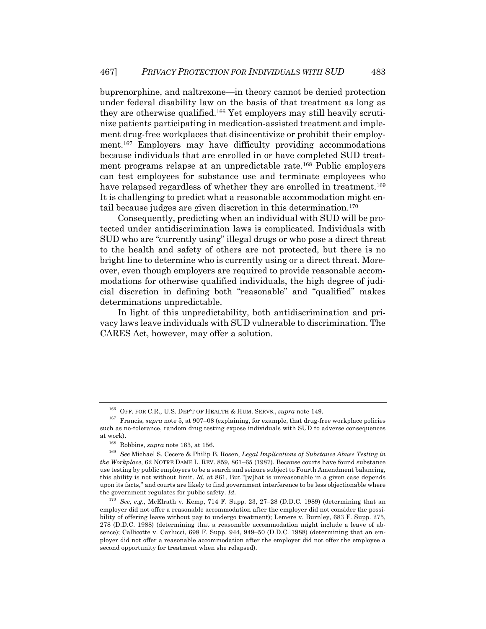buprenorphine, and naltrexone—in theory cannot be denied protection under federal disability law on the basis of that treatment as long as they are otherwise qualified.<sup>166</sup> Yet employers may still heavily scrutinize patients participating in medication-assisted treatment and implement drug-free workplaces that disincentivize or prohibit their employment.167 Employers may have difficulty providing accommodations because individuals that are enrolled in or have completed SUD treatment programs relapse at an unpredictable rate.168 Public employers can test employees for substance use and terminate employees who have relapsed regardless of whether they are enrolled in treatment.<sup>169</sup> It is challenging to predict what a reasonable accommodation might entail because judges are given discretion in this determination.170

Consequently, predicting when an individual with SUD will be protected under antidiscrimination laws is complicated. Individuals with SUD who are "currently using" illegal drugs or who pose a direct threat to the health and safety of others are not protected, but there is no bright line to determine who is currently using or a direct threat. Moreover, even though employers are required to provide reasonable accommodations for otherwise qualified individuals, the high degree of judicial discretion in defining both "reasonable" and "qualified" makes determinations unpredictable.

In light of this unpredictability, both antidiscrimination and privacy laws leave individuals with SUD vulnerable to discrimination. The CARES Act, however, may offer a solution.

<sup>&</sup>lt;sup>166</sup> OFF. FOR C.R., U.S. DEP'T OF HEALTH & HUM. SERVS., *supra* note 149.

<sup>&</sup>lt;sup>167</sup> Francis, *supra* note 5, at 907–08 (explaining, for example, that drug-free workplace policies such as no-tolerance, random drug testing expose individuals with SUD to adverse consequences at work).

<sup>168</sup> Robbins, *supra* note 163, at 156.

<sup>169</sup> *See* Michael S. Cecere & Philip B. Rosen, *Legal Implications of Substance Abuse Testing in the Workplace*, 62 NOTRE DAME L. REV. 859, 861–65 (1987). Because courts have found substance use testing by public employers to be a search and seizure subject to Fourth Amendment balancing, this ability is not without limit. *Id.* at 861. But "[w]hat is unreasonable in a given case depends upon its facts," and courts are likely to find government interference to be less objectionable where the government regulates for public safety. *Id.*

<sup>170</sup> *See, e.g.*, McElrath v. Kemp, 714 F. Supp. 23, 27–28 (D.D.C. 1989) (determining that an employer did not offer a reasonable accommodation after the employer did not consider the possibility of offering leave without pay to undergo treatment); Lemere v. Burnley, 683 F. Supp. 275, 278 (D.D.C. 1988) (determining that a reasonable accommodation might include a leave of absence); Callicotte v. Carlucci, 698 F. Supp. 944, 949–50 (D.D.C. 1988) (determining that an employer did not offer a reasonable accommodation after the employer did not offer the employee a second opportunity for treatment when she relapsed).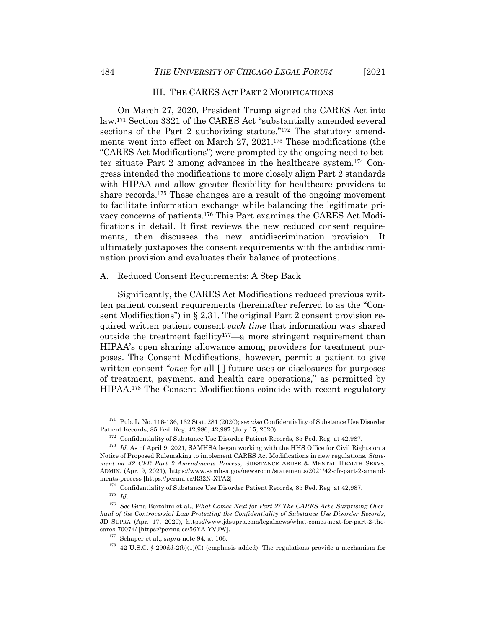#### III. THE CARES ACT PART 2 MODIFICATIONS

On March 27, 2020, President Trump signed the CARES Act into law.171 Section 3321 of the CARES Act "substantially amended several sections of the Part 2 authorizing statute."<sup>172</sup> The statutory amendments went into effect on March 27, 2021.173 These modifications (the "CARES Act Modifications") were prompted by the ongoing need to better situate Part 2 among advances in the healthcare system.174 Congress intended the modifications to more closely align Part 2 standards with HIPAA and allow greater flexibility for healthcare providers to share records.175 These changes are a result of the ongoing movement to facilitate information exchange while balancing the legitimate privacy concerns of patients.176 This Part examines the CARES Act Modifications in detail. It first reviews the new reduced consent requirements, then discusses the new antidiscrimination provision. It ultimately juxtaposes the consent requirements with the antidiscrimination provision and evaluates their balance of protections.

#### A. Reduced Consent Requirements: A Step Back

Significantly, the CARES Act Modifications reduced previous written patient consent requirements (hereinafter referred to as the "Consent Modifications") in § 2.31. The original Part 2 consent provision required written patient consent *each time* that information was shared outside the treatment facility<sup>177</sup>—a more stringent requirement than HIPAA's open sharing allowance among providers for treatment purposes. The Consent Modifications, however, permit a patient to give written consent "*once* for all [] future uses or disclosures for purposes of treatment, payment, and health care operations," as permitted by HIPAA.178 The Consent Modifications coincide with recent regulatory

<sup>175</sup> *Id.*

<sup>171</sup> Pub. L. No. 116-136, 132 Stat. 281 (2020); *see also* Confidentiality of Substance Use Disorder Patient Records, 85 Fed. Reg. 42,986, 42,987 (July 15, 2020).

<sup>&</sup>lt;sup>172</sup> Confidentiality of Substance Use Disorder Patient Records, 85 Fed. Reg. at 42,987.

<sup>&</sup>lt;sup>173</sup> *Id.* As of April 9, 2021, SAMHSA began working with the HHS Office for Civil Rights on a Notice of Proposed Rulemaking to implement CARES Act Modifications in new regulations. *Statement on 42 CFR Part 2 Amendments Process*, SUBSTANCE ABUSE & MENTAL HEALTH SERVS. ADMIN. (Apr. 9, 2021), https://www.samhsa.gov/newsroom/statements/2021/42-cfr-part-2-amendments-process [https://perma.cc/R32N-XTA2].

 $^{174}\,$  Confidentiality of Substance Use Disorder Patient Records, 85 Fed. Reg. at 42,987.

<sup>176</sup> *See* Gina Bertolini et al., *What Comes Next for Part 2? The CARES Act's Surprising Overhaul of the Controversial Law Protecting the Confidentiality of Substance Use Disorder Records*, JD SUPRA (Apr. 17, 2020), https://www.jdsupra.com/legalnews/what-comes-next-for-part-2-thecares-70074/ [https://perma.cc/56YA-YVJW].

<sup>177</sup> Schaper et al., *supra* note 94, at 106.

 $178$  42 U.S.C. § 290dd-2(b)(1)(C) (emphasis added). The regulations provide a mechanism for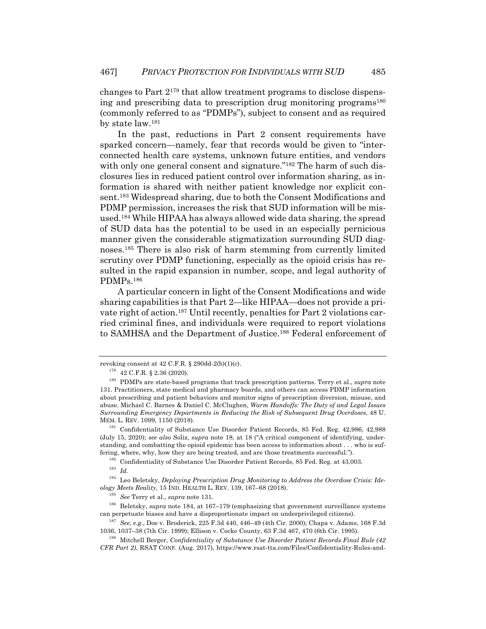changes to Part 2179 that allow treatment programs to disclose dispensing and prescribing data to prescription drug monitoring programs<sup>180</sup> (commonly referred to as "PDMPs"), subject to consent and as required by state law.181

In the past, reductions in Part 2 consent requirements have sparked concern—namely, fear that records would be given to "interconnected health care systems, unknown future entities, and vendors with only one general consent and signature."<sup>182</sup> The harm of such disclosures lies in reduced patient control over information sharing, as information is shared with neither patient knowledge nor explicit consent.183 Widespread sharing, due to both the Consent Modifications and PDMP permission, increases the risk that SUD information will be misused.184 While HIPAA has always allowed wide data sharing, the spread of SUD data has the potential to be used in an especially pernicious manner given the considerable stigmatization surrounding SUD diagnoses.185 There is also risk of harm stemming from currently limited scrutiny over PDMP functioning, especially as the opioid crisis has resulted in the rapid expansion in number, scope, and legal authority of PDMPs.186

A particular concern in light of the Consent Modifications and wide sharing capabilities is that Part 2—like HIPAA—does not provide a private right of action.187 Until recently, penalties for Part 2 violations carried criminal fines, and individuals were required to report violations to SAMHSA and the Department of Justice.188 Federal enforcement of

<sup>182</sup> Confidentiality of Substance Use Disorder Patient Records, 85 Fed. Reg. at 43,003.

<sup>183</sup> *Id.*

<sup>184</sup> Leo Beletsky, *Deploying Prescription Drug Monitoring to Address the Overdose Crisis: Ideology Meets Reality*, 15 IND. HEALTH L. REV. 139, 167–68 (2018).

<sup>185</sup> *See* Terry et al., *supra* note 131.

<sup>186</sup> Beletsky, *supra* note 184, at 167–179 (emphasizing that government surveillance systems can perpetuate biases and have a disproportionate impact on underprivileged citizens).

<sup>187</sup> *See, e.g.*, Doe v. Broderick, 225 F.3d 440, 446–49 (4th Cir. 2000); Chapa v. Adams, 168 F.3d 1036, 1037–38 (7th Cir. 1999); Ellison v. Cocke County, 63 F.3d 467, 470 (6th Cir. 1995).

<sup>188</sup> Mitchell Berger, *Confidentiality of Substance Use Disorder Patient Records Final Rule (42 CFR Part 2)*, RSAT CONF. (Aug. 2017), https://www.rsat-tta.com/Files/Confidentiality-Rules-and-

revoking consent at  $42$  C.F.R. §  $290dd-2(b)(1)(c)$ .

 $^{179}$   $\,$  42 C.F.R. § 2.36 (2020).

<sup>180</sup> PDMPs are state-based programs that track prescription patterns. Terry et al., *supra* note 131. Practitioners, state medical and pharmacy boards, and others can access PDMP information about prescribing and patient behaviors and monitor signs of prescription diversion, misuse, and abuse. Michael C. Barnes & Daniel C. McClughen, *Warm Handoffs: The Duty of and Legal Issues Surrounding Emergency Departments in Reducing the Risk of Subsequent Drug Overdoses*, 48 U. MEM. L. REV. 1099, 1150 (2018).

<sup>181</sup> Confidentiality of Substance Use Disorder Patient Records, 85 Fed. Reg. 42,986, 42,988 (July 15, 2020); *see also* Soliz, *supra* note 18, at 18 ("A critical component of identifying, understanding, and combatting the opioid epidemic has been access to information about . . . who is suffering, where, why, how they are being treated, and are those treatments successful.").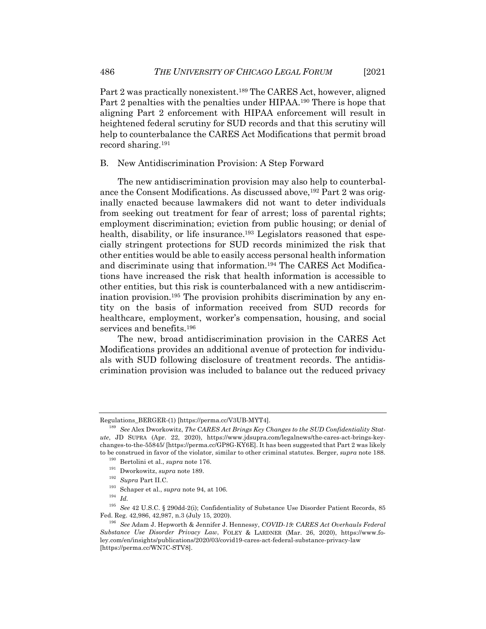Part 2 was practically nonexistent.189 The CARES Act, however, aligned Part 2 penalties with the penalties under HIPAA.190 There is hope that aligning Part 2 enforcement with HIPAA enforcement will result in heightened federal scrutiny for SUD records and that this scrutiny will help to counterbalance the CARES Act Modifications that permit broad record sharing.191

#### B. New Antidiscrimination Provision: A Step Forward

The new antidiscrimination provision may also help to counterbalance the Consent Modifications. As discussed above,<sup>192</sup> Part 2 was originally enacted because lawmakers did not want to deter individuals from seeking out treatment for fear of arrest; loss of parental rights; employment discrimination; eviction from public housing; or denial of health, disability, or life insurance.<sup>193</sup> Legislators reasoned that especially stringent protections for SUD records minimized the risk that other entities would be able to easily access personal health information and discriminate using that information.194 The CARES Act Modifications have increased the risk that health information is accessible to other entities, but this risk is counterbalanced with a new antidiscrimination provision.195 The provision prohibits discrimination by any entity on the basis of information received from SUD records for healthcare, employment, worker's compensation, housing, and social services and benefits.<sup>196</sup>

The new, broad antidiscrimination provision in the CARES Act Modifications provides an additional avenue of protection for individuals with SUD following disclosure of treatment records. The antidiscrimination provision was included to balance out the reduced privacy

Regulations\_BERGER-(1) [https://perma.cc/V3UB-MYT4].

<sup>189</sup> *See* Alex Dworkowitz, *The CARES Act Brings Key Changes to the SUD Confidentiality Statute*, JD SUPRA (Apr. 22, 2020), https://www.jdsupra.com/legalnews/the-cares-act-brings-keychanges-to-the-55845/ [https://perma.cc/GP8G-KY6E]. It has been suggested that Part 2 was likely to be construed in favor of the violator, similar to other criminal statutes. Berger, *supra* note 188.

<sup>190</sup> Bertolini et al., *supra* note 176.

<sup>191</sup> Dworkowitz, *supra* note 189.

<sup>192</sup> *Supra* Part II.C.

<sup>193</sup> Schaper et al., *supra* note 94, at 106.

<sup>194</sup> *Id.*

<sup>195</sup> *See* 42 U.S.C. § 290dd-2(i); Confidentiality of Substance Use Disorder Patient Records, 85 Fed. Reg. 42,986, 42,987, n.3 (July 15, 2020).

<sup>196</sup> *See* Adam J. Hepworth & Jennifer J. Hennessy, *COVID-19: CARES Act Overhauls Federal Substance Use Disorder Privacy Law*, FOLEY & LARDNER (Mar. 26, 2020), https://www.foley.com/en/insights/publications/2020/03/covid19-cares-act-federal-substance-privacy-law [https://perma.cc/WN7C-STV8].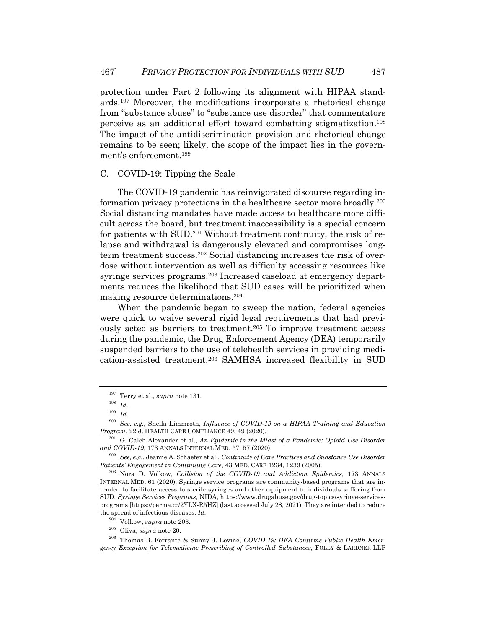protection under Part 2 following its alignment with HIPAA standards.197 Moreover, the modifications incorporate a rhetorical change from "substance abuse" to "substance use disorder" that commentators perceive as an additional effort toward combatting stigmatization.198 The impact of the antidiscrimination provision and rhetorical change remains to be seen; likely, the scope of the impact lies in the government's enforcement.199

#### C. COVID-19: Tipping the Scale

The COVID-19 pandemic has reinvigorated discourse regarding information privacy protections in the healthcare sector more broadly.200 Social distancing mandates have made access to healthcare more difficult across the board, but treatment inaccessibility is a special concern for patients with SUD.201 Without treatment continuity, the risk of relapse and withdrawal is dangerously elevated and compromises longterm treatment success.202 Social distancing increases the risk of overdose without intervention as well as difficulty accessing resources like syringe services programs.203 Increased caseload at emergency departments reduces the likelihood that SUD cases will be prioritized when making resource determinations.204

When the pandemic began to sweep the nation, federal agencies were quick to waive several rigid legal requirements that had previously acted as barriers to treatment.205 To improve treatment access during the pandemic, the Drug Enforcement Agency (DEA) temporarily suspended barriers to the use of telehealth services in providing medication-assisted treatment.206 SAMHSA increased flexibility in SUD

<sup>205</sup> Oliva, *supra* note 20.

<sup>197</sup> Terry et al., *supra* note 131.

<sup>198</sup> *Id.*

<sup>199</sup> *Id.*

<sup>200</sup> *See, e.g.*, Sheila Limmroth, *Influence of COVID-19 on a HIPAA Training and Education Program*, 22 J. HEALTH CARE COMPLIANCE 49, 49 (2020).

<sup>&</sup>lt;sup>201</sup> G. Caleb Alexander et al., *An Epidemic in the Midst of a Pandemic: Opioid Use Disorder and COVID-19*, 173 ANNALS INTERNAL MED. 57, 57 (2020).

<sup>202</sup> *See, e.g.*, Jeanne A. Schaefer et al., *Continuity of Care Practices and Substance Use Disorder Patients' Engagement in Continuing Care*, 43 MED. CARE 1234, 1239 (2005).

<sup>203</sup> Nora D. Volkow, *Collision of the COVID-19 and Addiction Epidemics*, 173 ANNALS INTERNAL MED. 61 (2020). Syringe service programs are community-based programs that are intended to facilitate access to sterile syringes and other equipment to individuals suffering from SUD. *Syringe Services Programs*, NIDA, https://www.drugabuse.gov/drug-topics/syringe-servicesprograms [https://perma.cc/2YLX-R5HZ] (last accessed July 28, 2021). They are intended to reduce the spread of infectious diseases. *Id.*

<sup>204</sup> Volkow, *supra* note 203.

<sup>206</sup> Thomas B. Ferrante & Sunny J. Levine, *COVID-19: DEA Confirms Public Health Emergency Exception for Telemedicine Prescribing of Controlled Substances*, FOLEY & LARDNER LLP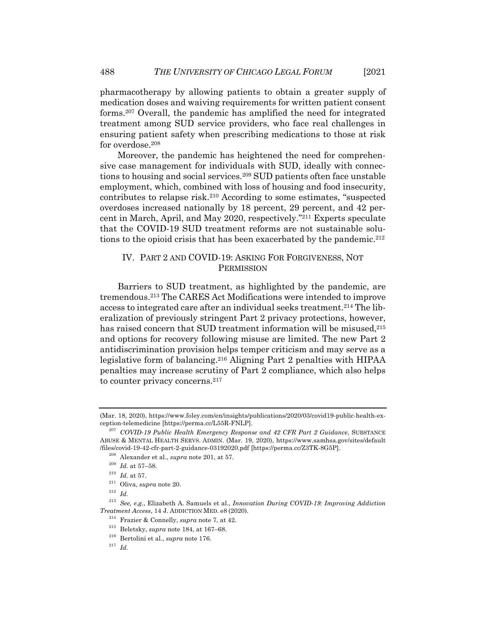pharmacotherapy by allowing patients to obtain a greater supply of medication doses and waiving requirements for written patient consent forms.207 Overall, the pandemic has amplified the need for integrated treatment among SUD service providers, who face real challenges in ensuring patient safety when prescribing medications to those at risk for overdose.<sup>208</sup>

Moreover, the pandemic has heightened the need for comprehensive case management for individuals with SUD, ideally with connections to housing and social services.<sup>209</sup> SUD patients often face unstable employment, which, combined with loss of housing and food insecurity, contributes to relapse risk.210 According to some estimates, "suspected overdoses increased nationally by 18 percent, 29 percent, and 42 percent in March, April, and May 2020, respectively."211 Experts speculate that the COVID-19 SUD treatment reforms are not sustainable solutions to the opioid crisis that has been exacerbated by the pandemic.<sup>212</sup>

## IV. PART 2 AND COVID-19: ASKING FOR FORGIVENESS, NOT **PERMISSION**

Barriers to SUD treatment, as highlighted by the pandemic, are tremendous.213 The CARES Act Modifications were intended to improve access to integrated care after an individual seeks treatment.<sup>214</sup> The liberalization of previously stringent Part 2 privacy protections, however, has raised concern that SUD treatment information will be misused.<sup>215</sup> and options for recovery following misuse are limited. The new Part 2 antidiscrimination provision helps temper criticism and may serve as a legislative form of balancing.216 Aligning Part 2 penalties with HIPAA penalties may increase scrutiny of Part 2 compliance, which also helps to counter privacy concerns.<sup>217</sup>

<sup>(</sup>Mar. 18, 2020), https://www.foley.com/en/insights/publications/2020/03/covid19-public-health-exception-telemedicine [https://perma.cc/L55R-FNLP].

<sup>207</sup> *COVID-19 Public Health Emergency Response and 42 CFR Part 2 Guidance*, SUBSTANCE ABUSE & MENTAL HEALTH SERVS. ADMIN. (Mar. 19, 2020), https://www.samhsa.gov/sites/default /files/covid-19-42-cfr-part-2-guidance-03192020.pdf [https://perma.cc/Z3TK-8G5P].

<sup>208</sup> Alexander et al., *supra* note 201, at 57.

<sup>209</sup> *Id.* at 57–58.

 $^{210}\,$   $Id.\,$  at 57.

<sup>211</sup> Oliva, *supra* note 20.

<sup>212</sup> *Id.*

<sup>213</sup> *See, e.g.*, Elizabeth A. Samuels et al., *Innovation During COVID-19: Improving Addiction Treatment Access*, 14 J. ADDICTION MED. e8 (2020).

<sup>214</sup> Frazier & Connelly, *supra* note 7, at 42.

<sup>215</sup> Beletsky, *supra* note 184, at 167–68.

<sup>216</sup> Bertolini et al., *supra* note 176.

<sup>217</sup> *Id.*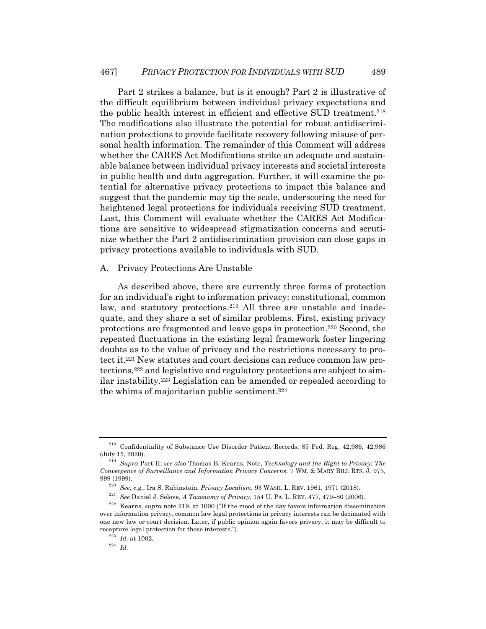Part 2 strikes a balance, but is it enough? Part 2 is illustrative of the difficult equilibrium between individual privacy expectations and the public health interest in efficient and effective SUD treatment.218 The modifications also illustrate the potential for robust antidiscrimination protections to provide facilitate recovery following misuse of personal health information. The remainder of this Comment will address whether the CARES Act Modifications strike an adequate and sustainable balance between individual privacy interests and societal interests in public health and data aggregation. Further, it will examine the potential for alternative privacy protections to impact this balance and suggest that the pandemic may tip the scale, underscoring the need for heightened legal protections for individuals receiving SUD treatment. Last, this Comment will evaluate whether the CARES Act Modifications are sensitive to widespread stigmatization concerns and scrutinize whether the Part 2 antidiscrimination provision can close gaps in privacy protections available to individuals with SUD.

#### A. Privacy Protections Are Unstable

As described above, there are currently three forms of protection for an individual's right to information privacy: constitutional, common law, and statutory protections.<sup>219</sup> All three are unstable and inadequate, and they share a set of similar problems. First, existing privacy protections are fragmented and leave gaps in protection.220 Second, the repeated fluctuations in the existing legal framework foster lingering doubts as to the value of privacy and the restrictions necessary to protect it.221 New statutes and court decisions can reduce common law protections,222 and legislative and regulatory protections are subject to similar instability.223 Legislation can be amended or repealed according to the whims of majoritarian public sentiment.<sup>224</sup>

<sup>223</sup> *Id.* at 1002.

<sup>224</sup> *Id.*

<sup>218</sup> Confidentiality of Substance Use Disorder Patient Records, 85 Fed. Reg. 42,986, 42,986 (July 15, 2020).

<sup>219</sup> *Supra* Part II; *see also* Thomas B. Kearns, Note, *Technology and the Right to Privacy: The Convergence of Surveillance and Information Privacy Concerns*, 7 WM. & MARY BILL RTS. J. 975, 999 (1999).

<sup>220</sup> *See, e.g.*, Ira S. Rubinstein, *Privacy Localism*, 93 WASH. L. REV. 1961, 1971 (2018).

<sup>221</sup> *See* Daniel J. Solove, *A Taxonomy of Privacy*, 154 U. PA. L. REV. 477, 479–80 (2006).

<sup>222</sup> Kearns, *supra* note 219, at 1000 ("If the mood of the day favors information dissemination over information privacy, common law legal protections in privacy interests can be decimated with one new law or court decision. Later, if public opinion again favors privacy, it may be difficult to recapture legal protection for those interests.").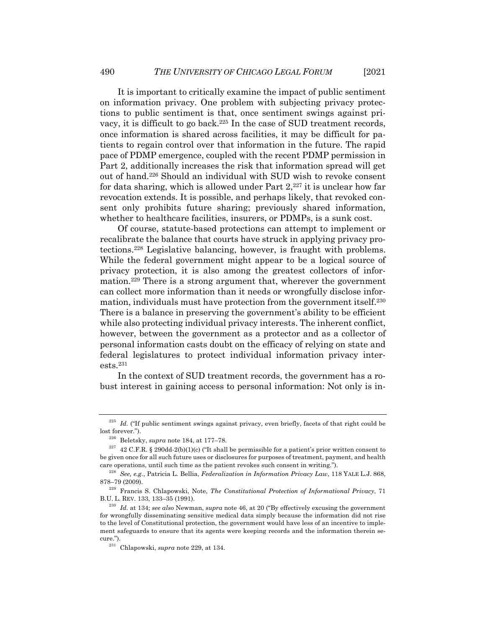It is important to critically examine the impact of public sentiment on information privacy. One problem with subjecting privacy protections to public sentiment is that, once sentiment swings against privacy, it is difficult to go back.225 In the case of SUD treatment records, once information is shared across facilities, it may be difficult for patients to regain control over that information in the future. The rapid pace of PDMP emergence, coupled with the recent PDMP permission in Part 2, additionally increases the risk that information spread will get out of hand.226 Should an individual with SUD wish to revoke consent for data sharing, which is allowed under Part  $2^{227}$  it is unclear how far revocation extends. It is possible, and perhaps likely, that revoked consent only prohibits future sharing; previously shared information, whether to healthcare facilities, insurers, or PDMPs, is a sunk cost.

Of course, statute-based protections can attempt to implement or recalibrate the balance that courts have struck in applying privacy protections.228 Legislative balancing, however, is fraught with problems. While the federal government might appear to be a logical source of privacy protection, it is also among the greatest collectors of information.229 There is a strong argument that, wherever the government can collect more information than it needs or wrongfully disclose information, individuals must have protection from the government itself.<sup>230</sup> There is a balance in preserving the government's ability to be efficient while also protecting individual privacy interests. The inherent conflict, however, between the government as a protector and as a collector of personal information casts doubt on the efficacy of relying on state and federal legislatures to protect individual information privacy interests.231

In the context of SUD treatment records, the government has a robust interest in gaining access to personal information: Not only is in-

<sup>&</sup>lt;sup>225</sup> *Id.* ("If public sentiment swings against privacy, even briefly, facets of that right could be lost forever.").

<sup>226</sup> Beletsky, *supra* note 184, at 177–78.

 $227$  42 C.F.R. § 290dd-2(b)(1)(c) ("It shall be permissible for a patient's prior written consent to be given once for all such future uses or disclosures for purposes of treatment, payment, and health care operations, until such time as the patient revokes such consent in writing.").

<sup>228</sup> *See, e.g.*, Patricia L. Bellia, *Federalization in Information Privacy Law*, 118 YALE L.J. 868, 878–79 (2009).

<sup>229</sup> Francis S. Chlapowski, Note, *The Constitutional Protection of Informational Privacy*, 71 B.U. L. REV. 133, 133–35 (1991).

<sup>230</sup> *Id.* at 134; *see also* Newman, *supra* note 46, at 20 ("By effectively excusing the government for wrongfully disseminating sensitive medical data simply because the information did not rise to the level of Constitutional protection, the government would have less of an incentive to implement safeguards to ensure that its agents were keeping records and the information therein secure.").

<sup>231</sup> Chlapowski, *supra* note 229, at 134.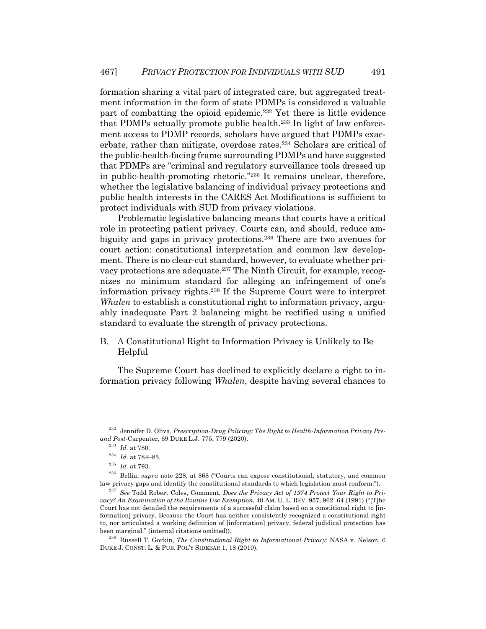formation sharing a vital part of integrated care, but aggregated treatment information in the form of state PDMPs is considered a valuable part of combatting the opioid epidemic.232 Yet there is little evidence that PDMPs actually promote public health.233 In light of law enforcement access to PDMP records, scholars have argued that PDMPs exacerbate, rather than mitigate, overdose rates.234 Scholars are critical of the public-health-facing frame surrounding PDMPs and have suggested that PDMPs are "criminal and regulatory surveillance tools dressed up in public-health-promoting rhetoric."235 It remains unclear, therefore, whether the legislative balancing of individual privacy protections and public health interests in the CARES Act Modifications is sufficient to protect individuals with SUD from privacy violations.

Problematic legislative balancing means that courts have a critical role in protecting patient privacy. Courts can, and should, reduce ambiguity and gaps in privacy protections.<sup>236</sup> There are two avenues for court action: constitutional interpretation and common law development. There is no clear-cut standard, however, to evaluate whether privacy protections are adequate.237 The Ninth Circuit, for example, recognizes no minimum standard for alleging an infringement of one's information privacy rights.238 If the Supreme Court were to interpret *Whalen* to establish a constitutional right to information privacy, arguably inadequate Part 2 balancing might be rectified using a unified standard to evaluate the strength of privacy protections.

B. A Constitutional Right to Information Privacy is Unlikely to Be Helpful

The Supreme Court has declined to explicitly declare a right to information privacy following *Whalen*, despite having several chances to

<sup>232</sup> Jennifer D. Oliva, *Prescription-Drug Policing: The Right to Health-Information Privacy Preand Post-*Carpenter, 69 DUKE L.J. 775, 779 (2020).

<sup>233</sup> *Id.* at 780.

<sup>234</sup> *Id.* at 784–85.

 $^{235}\,$   $Id.\,$  at 793.

<sup>236</sup> Bellia, *supra* note 228, at 868 ("Courts can expose constitutional, statutory, and common law privacy gaps and identify the constitutional standards to which legislation must conform.").

<sup>237</sup> *See* Todd Robert Coles, Comment, *Does the Privacy Act of 1974 Protect Your Right to Privacy? An Examination of the Routine Use Exemption*, 40 AM. U. L. REV. 957, 962–64 (1991) ("[T]he Court has not detailed the requirements of a successful claim based on a constitional right to [information] privacy. Because the Court has neither consistently recognized a constitutional right to, nor articulated a working definition of [information] privacy, federal judidical protection has been marginal." (internal citations omitted)).

<sup>238</sup> Russell T. Gorkin, *The Constitutional Right to Informational Privacy:* NASA v. Nelson, 6 DUKE J. CONST. L. & PUB. POL'Y SIDEBAR 1, 18 (2010).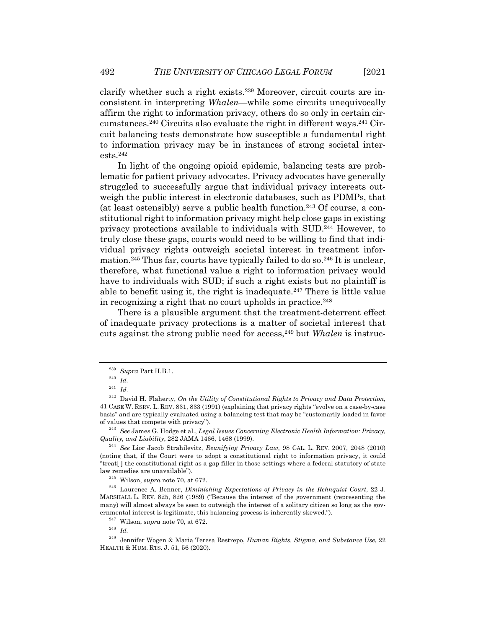clarify whether such a right exists.239 Moreover, circuit courts are inconsistent in interpreting *Whalen*—while some circuits unequivocally affirm the right to information privacy, others do so only in certain circumstances.240 Circuits also evaluate the right in different ways.241 Circuit balancing tests demonstrate how susceptible a fundamental right to information privacy may be in instances of strong societal interests.242

In light of the ongoing opioid epidemic, balancing tests are problematic for patient privacy advocates. Privacy advocates have generally struggled to successfully argue that individual privacy interests outweigh the public interest in electronic databases, such as PDMPs, that (at least ostensibly) serve a public health function.243 Of course, a constitutional right to information privacy might help close gaps in existing privacy protections available to individuals with SUD.244 However, to truly close these gaps, courts would need to be willing to find that individual privacy rights outweigh societal interest in treatment information.<sup>245</sup> Thus far, courts have typically failed to do so.<sup>246</sup> It is unclear, therefore, what functional value a right to information privacy would have to individuals with SUD; if such a right exists but no plaintiff is able to benefit using it, the right is inadequate.<sup>247</sup> There is little value in recognizing a right that no court upholds in practice.<sup>248</sup>

There is a plausible argument that the treatment-deterrent effect of inadequate privacy protections is a matter of societal interest that cuts against the strong public need for access,249 but *Whalen* is instruc-

<sup>239</sup> *Supra* Part II.B.1.

<sup>240</sup> *Id.*

<sup>241</sup> *Id.*

<sup>242</sup> David H. Flaherty, *On the Utility of Constitutional Rights to Privacy and Data Protection*, 41 CASE W. RSRV. L. REV. 831, 833 (1991) (explaining that privacy rights "evolve on a case-by-case basis" and are typically evaluated using a balancing test that may be "customarily loaded in favor of values that compete with privacy").

<sup>243</sup> *See* James G. Hodge et al., *Legal Issues Concerning Electronic Health Information: Privacy, Quality, and Liability*, 282 JAMA 1466, 1468 (1999).

<sup>244</sup> *See* Lior Jacob Strahilevitz, *Reunifying Privacy Law*, 98 CAL. L. REV. 2007, 2048 (2010) (noting that, if the Court were to adopt a constitutional right to information privacy, it could "treat[ ] the constitutional right as a gap filler in those settings where a federal statutory of state law remedies are unavailable").

<sup>245</sup> Wilson, *supra* note 70, at 672.

<sup>&</sup>lt;sup>246</sup> Laurence A. Benner, *Diminishing Expectations of Privacy in the Rehnquist Court*, 22 J. MARSHALL L. REV. 825, 826 (1989) ("Because the interest of the government (representing the many) will almost always be seen to outweigh the interest of a solitary citizen so long as the governmental interest is legitimate, this balancing process is inherently skewed.").

<sup>247</sup> Wilson, *supra* note 70, at 672.

<sup>248</sup> *Id.*

<sup>249</sup> Jennifer Wogen & Maria Teresa Restrepo, *Human Rights, Stigma, and Substance Use*, 22 HEALTH & HUM. RTS. J. 51, 56 (2020).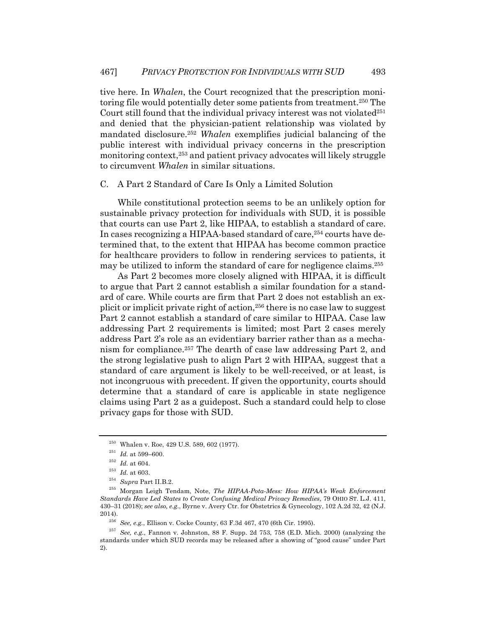tive here. In *Whalen*, the Court recognized that the prescription monitoring file would potentially deter some patients from treatment.<sup>250</sup> The Court still found that the individual privacy interest was not violated $251$ and denied that the physician-patient relationship was violated by mandated disclosure.252 *Whalen* exemplifies judicial balancing of the public interest with individual privacy concerns in the prescription monitoring context,253 and patient privacy advocates will likely struggle to circumvent *Whalen* in similar situations.

#### C. A Part 2 Standard of Care Is Only a Limited Solution

While constitutional protection seems to be an unlikely option for sustainable privacy protection for individuals with SUD, it is possible that courts can use Part 2, like HIPAA, to establish a standard of care. In cases recognizing a HIPAA-based standard of care,254 courts have determined that, to the extent that HIPAA has become common practice for healthcare providers to follow in rendering services to patients, it may be utilized to inform the standard of care for negligence claims.255

As Part 2 becomes more closely aligned with HIPAA, it is difficult to argue that Part 2 cannot establish a similar foundation for a standard of care. While courts are firm that Part 2 does not establish an explicit or implicit private right of action,256 there is no case law to suggest Part 2 cannot establish a standard of care similar to HIPAA. Case law addressing Part 2 requirements is limited; most Part 2 cases merely address Part 2's role as an evidentiary barrier rather than as a mechanism for compliance.257 The dearth of case law addressing Part 2, and the strong legislative push to align Part 2 with HIPAA, suggest that a standard of care argument is likely to be well-received, or at least, is not incongruous with precedent. If given the opportunity, courts should determine that a standard of care is applicable in state negligence claims using Part 2 as a guidepost. Such a standard could help to close privacy gaps for those with SUD.

<sup>250</sup> Whalen v. Roe, 429 U.S. 589, 602 (1977).

 $\,$   $^{251}$   $\,$   $Id.$  at 599–600.

<sup>252</sup> *Id.* at 604.

<sup>253</sup> *Id.* at 603.

 $\real^{254}$   $Supra$  Part II.B.2.

<sup>255</sup> Morgan Leigh Tendam, Note, *The HIPAA-Pota-Mess: How HIPAA's Weak Enforcement Standards Have Led States to Create Confusing Medical Privacy Remedies*, 79 OHIO ST. L.J. 411, 430–31 (2018); *see also, e.g.*, Byrne v. Avery Ctr. for Obstetrics & Gynecology, 102 A.2d 32, 42 (N.J. 2014).

<sup>256</sup> *See, e.g.*, Ellison v. Cocke County, 63 F.3d 467, 470 (6th Cir. 1995).

<sup>257</sup> *See, e.g.*, Fannon v. Johnston, 88 F. Supp. 2d 753, 758 (E.D. Mich. 2000) (analyzing the standards under which SUD records may be released after a showing of "good cause" under Part 2).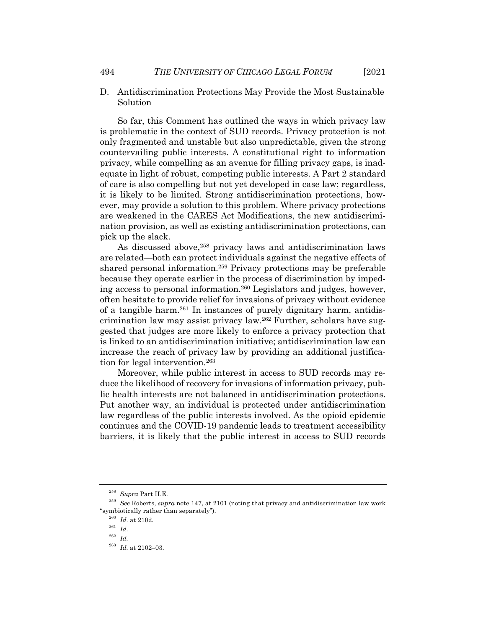- 
- D. Antidiscrimination Protections May Provide the Most Sustainable Solution

So far, this Comment has outlined the ways in which privacy law is problematic in the context of SUD records. Privacy protection is not only fragmented and unstable but also unpredictable, given the strong countervailing public interests. A constitutional right to information privacy, while compelling as an avenue for filling privacy gaps, is inadequate in light of robust, competing public interests. A Part 2 standard of care is also compelling but not yet developed in case law; regardless, it is likely to be limited. Strong antidiscrimination protections, however, may provide a solution to this problem. Where privacy protections are weakened in the CARES Act Modifications, the new antidiscrimination provision, as well as existing antidiscrimination protections, can pick up the slack.

As discussed above,<sup>258</sup> privacy laws and antidiscrimination laws are related—both can protect individuals against the negative effects of shared personal information.259 Privacy protections may be preferable because they operate earlier in the process of discrimination by impeding access to personal information.260 Legislators and judges, however, often hesitate to provide relief for invasions of privacy without evidence of a tangible harm.261 In instances of purely dignitary harm, antidiscrimination law may assist privacy law.262 Further, scholars have suggested that judges are more likely to enforce a privacy protection that is linked to an antidiscrimination initiative; antidiscrimination law can increase the reach of privacy law by providing an additional justification for legal intervention.<sup>263</sup>

Moreover, while public interest in access to SUD records may reduce the likelihood of recovery for invasions of information privacy, public health interests are not balanced in antidiscrimination protections. Put another way, an individual is protected under antidiscrimination law regardless of the public interests involved. As the opioid epidemic continues and the COVID-19 pandemic leads to treatment accessibility barriers, it is likely that the public interest in access to SUD records

<sup>258</sup> *Supra* Part II.E.

<sup>259</sup> *See* Roberts, *supra* note 147, at 2101 (noting that privacy and antidiscrimination law work "symbiotically rather than separately").

 $^{\rm 260}$   $\emph{Id.}$  at 2102.

<sup>261</sup> *Id.*

<sup>262</sup> *Id.*

 $^{263}$   $\,$   $Id.\;$  at 2102–03.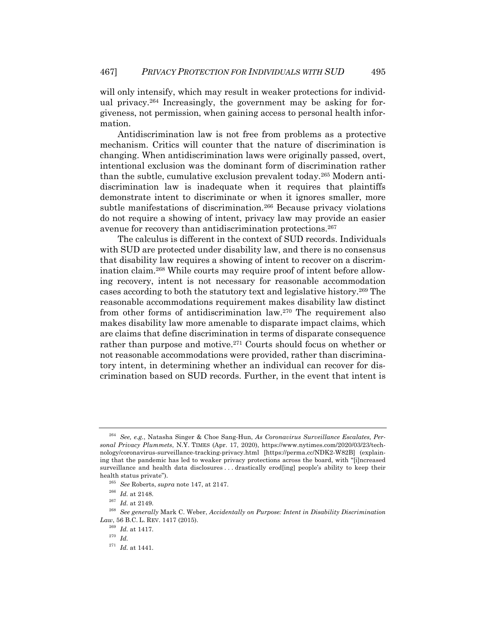will only intensify, which may result in weaker protections for individual privacy.<sup>264</sup> Increasingly, the government may be asking for forgiveness, not permission, when gaining access to personal health information.

Antidiscrimination law is not free from problems as a protective mechanism. Critics will counter that the nature of discrimination is changing. When antidiscrimination laws were originally passed, overt, intentional exclusion was the dominant form of discrimination rather than the subtle, cumulative exclusion prevalent today.265 Modern antidiscrimination law is inadequate when it requires that plaintiffs demonstrate intent to discriminate or when it ignores smaller, more subtle manifestations of discrimination.<sup>266</sup> Because privacy violations do not require a showing of intent, privacy law may provide an easier avenue for recovery than antidiscrimination protections.<sup>267</sup>

The calculus is different in the context of SUD records. Individuals with SUD are protected under disability law, and there is no consensus that disability law requires a showing of intent to recover on a discrimination claim.268 While courts may require proof of intent before allowing recovery, intent is not necessary for reasonable accommodation cases according to both the statutory text and legislative history.269 The reasonable accommodations requirement makes disability law distinct from other forms of antidiscrimination law.270 The requirement also makes disability law more amenable to disparate impact claims, which are claims that define discrimination in terms of disparate consequence rather than purpose and motive.<sup>271</sup> Courts should focus on whether or not reasonable accommodations were provided, rather than discriminatory intent, in determining whether an individual can recover for discrimination based on SUD records. Further, in the event that intent is

<sup>269</sup> *Id.* at 1417.

<sup>264</sup> *See, e.g.*, Natasha Singer & Choe Sang-Hun, *As Coronavirus Surveillance Escalates, Personal Privacy Plummets*, N.Y. TIMES (Apr. 17, 2020), https://www.nytimes.com/2020/03/23/technology/coronavirus-surveillance-tracking-privacy.html [https://perma.cc/NDK2-W82B] (explaining that the pandemic has led to weaker privacy protections across the board, with "[i]ncreased surveillance and health data disclosures . . . drastically erod[ing] people's ability to keep their health status private").

<sup>265</sup> *See* Roberts, *supra* note 147, at 2147.

<sup>266</sup> *Id.* at 2148.

<sup>267</sup> *Id.* at 2149.

<sup>268</sup> *See generally* Mark C. Weber, *Accidentally on Purpose: Intent in Disability Discrimination Law*, 56 B.C. L. REV. 1417 (2015).

<sup>270</sup> *Id.*

 $\,$   $^{271}$   $\,$   $Id.$  at 1441.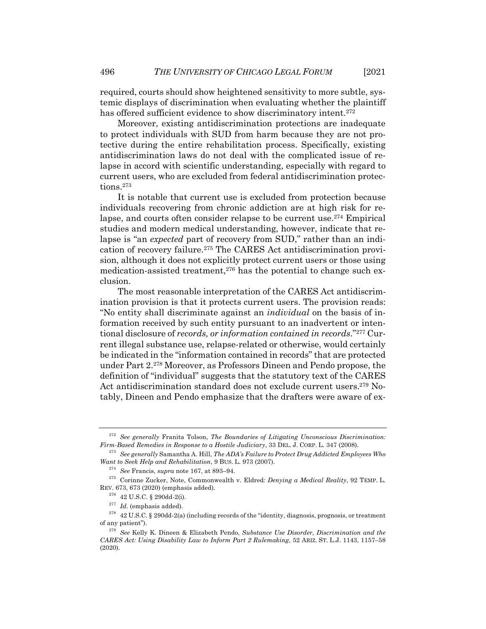required, courts should show heightened sensitivity to more subtle, systemic displays of discrimination when evaluating whether the plaintiff has offered sufficient evidence to show discriminatory intent.<sup>272</sup>

Moreover, existing antidiscrimination protections are inadequate to protect individuals with SUD from harm because they are not protective during the entire rehabilitation process. Specifically, existing antidiscrimination laws do not deal with the complicated issue of relapse in accord with scientific understanding, especially with regard to current users, who are excluded from federal antidiscrimination protections.273

It is notable that current use is excluded from protection because individuals recovering from chronic addiction are at high risk for relapse, and courts often consider relapse to be current use.274 Empirical studies and modern medical understanding, however, indicate that relapse is "an *expected* part of recovery from SUD," rather than an indication of recovery failure.275 The CARES Act antidiscrimination provision, although it does not explicitly protect current users or those using medication-assisted treatment, $276$  has the potential to change such exclusion.

The most reasonable interpretation of the CARES Act antidiscrimination provision is that it protects current users. The provision reads: "No entity shall discriminate against an *individual* on the basis of information received by such entity pursuant to an inadvertent or intentional disclosure of *records, or information contained in records*."277 Current illegal substance use, relapse-related or otherwise, would certainly be indicated in the "information contained in records" that are protected under Part 2.278 Moreover, as Professors Dineen and Pendo propose, the definition of "individual" suggests that the statutory text of the CARES Act antidiscrimination standard does not exclude current users.279 Notably, Dineen and Pendo emphasize that the drafters were aware of ex-

<sup>272</sup> *See generally* Franita Tolson, *The Boundaries of Litigating Unconscious Discrimination: Firm-Based Remedies in Response to a Hostile Judiciary*, 33 DEL. J. CORP. L. 347 (2008).

<sup>273</sup> *See generally* Samantha A. Hill, *The ADA's Failure to Protect Drug Addicted Employees Who Want to Seek Help and Rehabilitation*, 9 BUS. L. 973 (2007).

<sup>274</sup> *See* Francis, *supra* note 167, at 893–94.

<sup>275</sup> Corinne Zucker, Note, Commonwealth v. Eldred*: Denying a Medical Reality*, 92 TEMP. L. REV. 673, 673 (2020) (emphasis added).

 $^{276}$  42 U.S.C. § 290dd-2(i).

<sup>277</sup> *Id.* (emphasis added).

 $278$  42 U.S.C. § 290dd-2(a) (including records of the "identity, diagnosis, prognosis, or treatment of any patient").

<sup>279</sup> *See* Kelly K. Dineen & Elizabeth Pendo, *Substance Use Disorder, Discrimination and the CARES Act: Using Disability Law to Inform Part 2 Rulemaking*, 52 ARIZ. ST. L.J. 1143, 1157–58 (2020).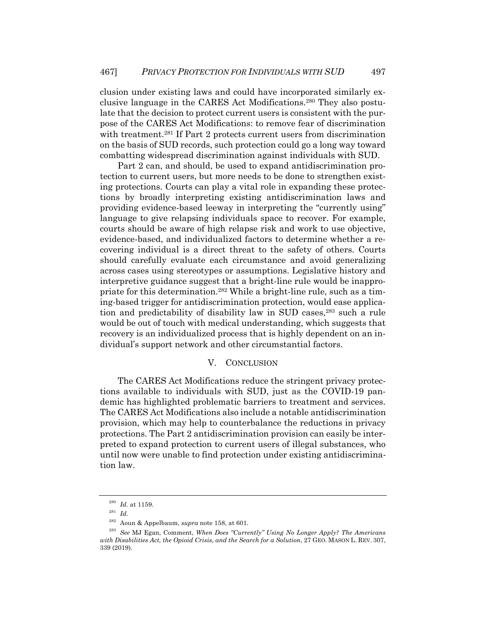clusion under existing laws and could have incorporated similarly exclusive language in the CARES Act Modifications.280 They also postulate that the decision to protect current users is consistent with the purpose of the CARES Act Modifications: to remove fear of discrimination with treatment.<sup>281</sup> If Part 2 protects current users from discrimination on the basis of SUD records, such protection could go a long way toward combatting widespread discrimination against individuals with SUD.

Part 2 can, and should, be used to expand antidiscrimination protection to current users, but more needs to be done to strengthen existing protections. Courts can play a vital role in expanding these protections by broadly interpreting existing antidiscrimination laws and providing evidence-based leeway in interpreting the "currently using" language to give relapsing individuals space to recover. For example, courts should be aware of high relapse risk and work to use objective, evidence-based, and individualized factors to determine whether a recovering individual is a direct threat to the safety of others. Courts should carefully evaluate each circumstance and avoid generalizing across cases using stereotypes or assumptions. Legislative history and interpretive guidance suggest that a bright-line rule would be inappropriate for this determination.282 While a bright-line rule, such as a timing-based trigger for antidiscrimination protection, would ease application and predictability of disability law in SUD cases,<sup>283</sup> such a rule would be out of touch with medical understanding, which suggests that recovery is an individualized process that is highly dependent on an individual's support network and other circumstantial factors.

### V. CONCLUSION

The CARES Act Modifications reduce the stringent privacy protections available to individuals with SUD, just as the COVID-19 pandemic has highlighted problematic barriers to treatment and services. The CARES Act Modifications also include a notable antidiscrimination provision, which may help to counterbalance the reductions in privacy protections. The Part 2 antidiscrimination provision can easily be interpreted to expand protection to current users of illegal substances, who until now were unable to find protection under existing antidiscrimination law.

 $^{280}$  *Id.* at 1159.

<sup>281</sup> *Id.*

<sup>282</sup> Aoun & Appelbaum, *supra* note 158, at 601.

<sup>283</sup> *See* MJ Egan, Comment, *When Does "Currently" Using No Longer Apply? The Americans with Disabilities Act, the Opioid Crisis, and the Search for a Solution*, 27 GEO. MASON L. REV. 307, 339 (2019).